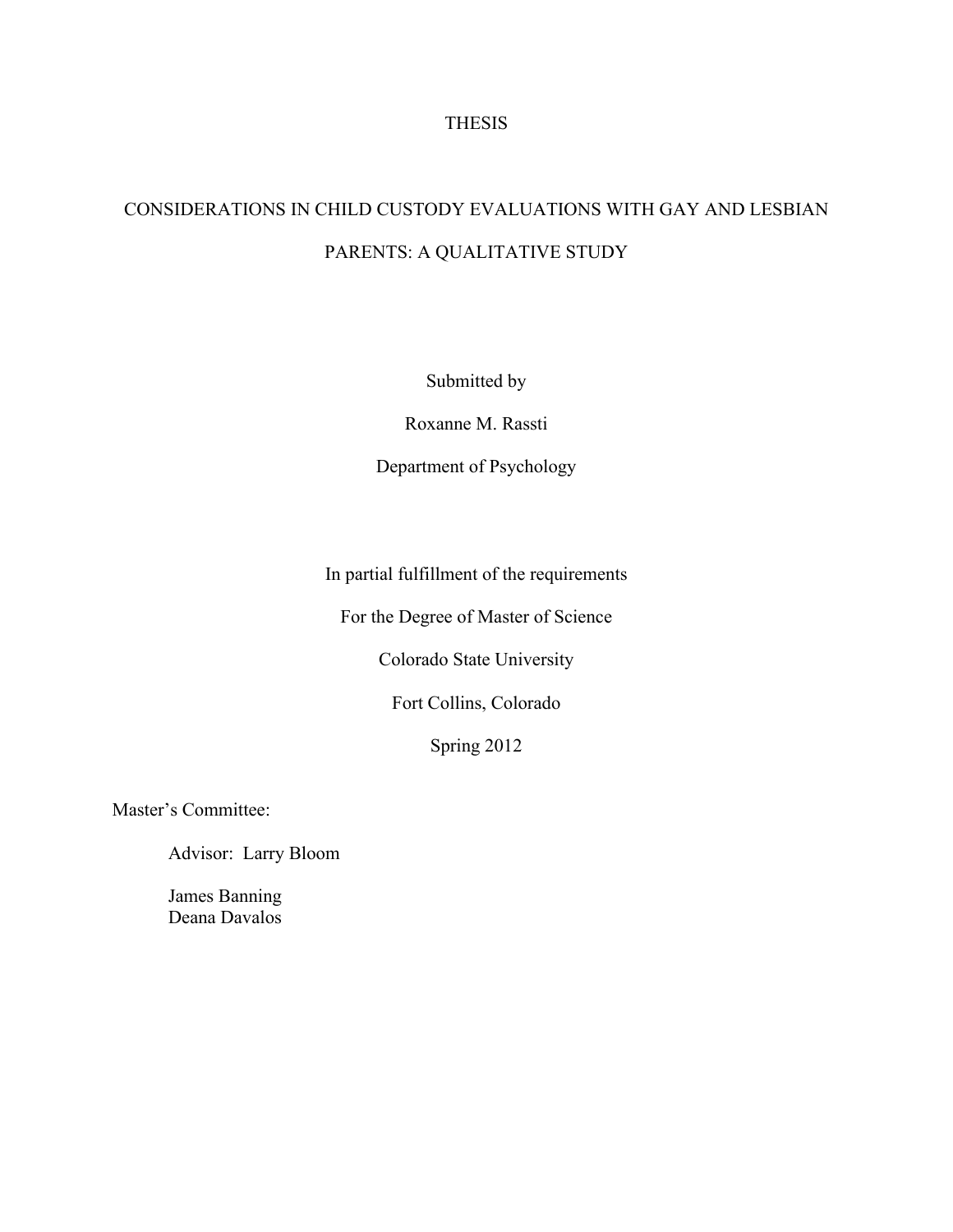## THESIS

# CONSIDERATIONS IN CHILD CUSTODY EVALUATIONS WITH GAY AND LESBIAN PARENTS: A QUALITATIVE STUDY

Submitted by

Roxanne M. Rassti

Department of Psychology

In partial fulfillment of the requirements

For the Degree of Master of Science

Colorado State University

Fort Collins, Colorado

Spring 2012

Master's Committee:

Advisor: Larry Bloom

James Banning Deana Davalos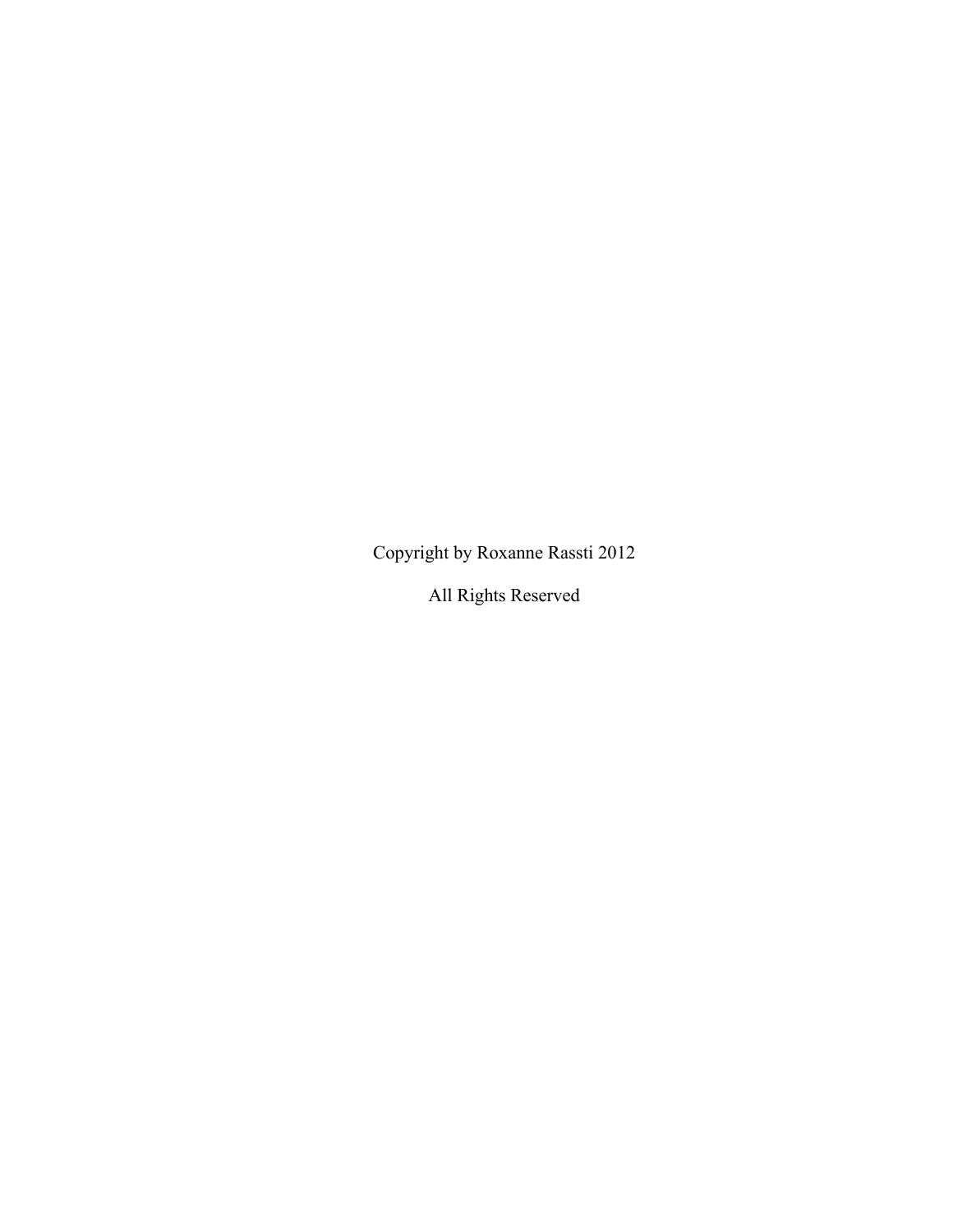Copyright by Roxanne Rassti 2012

All Rights Reserved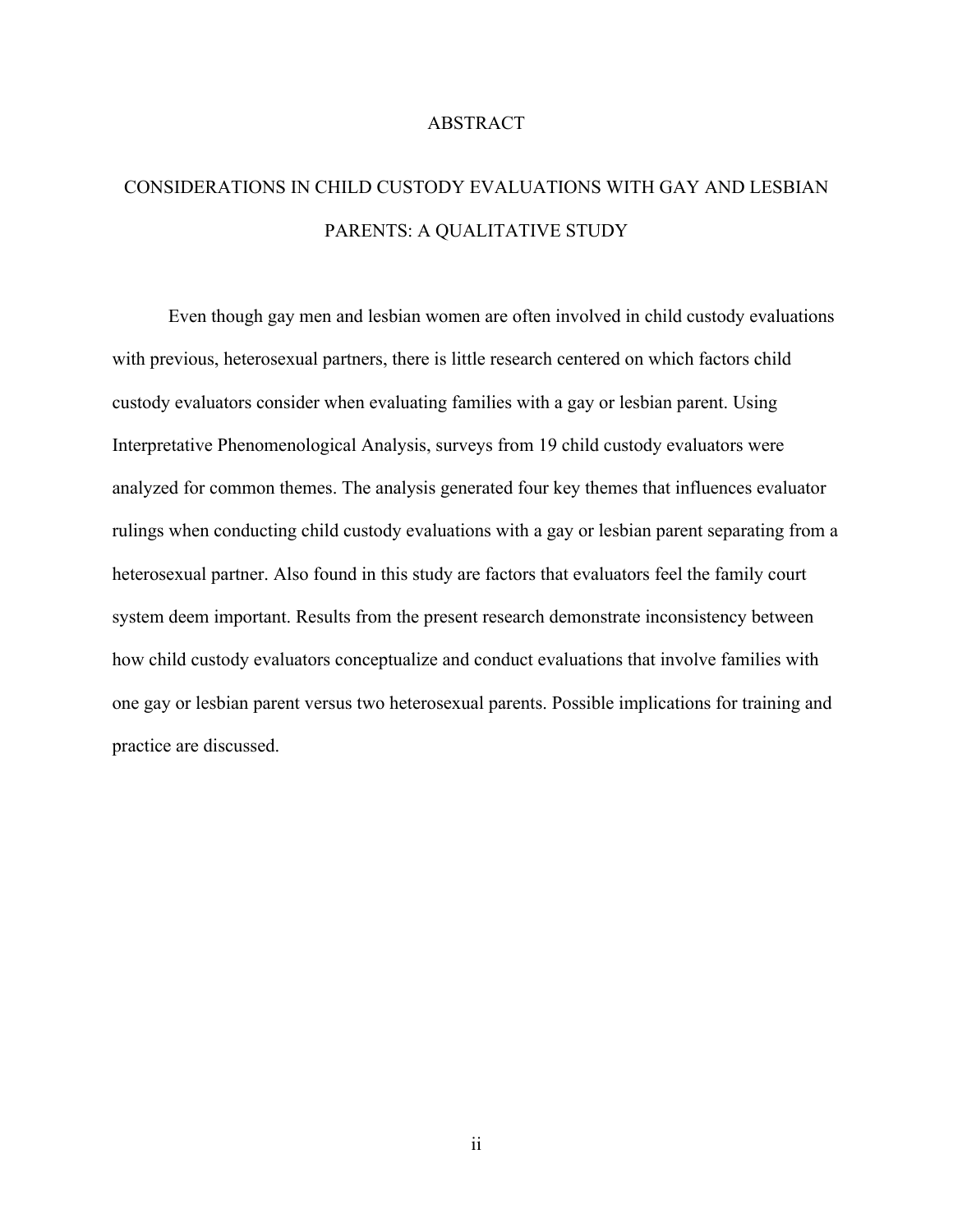## ABSTRACT

# CONSIDERATIONS IN CHILD CUSTODY EVALUATIONS WITH GAY AND LESBIAN PARENTS: A QUALITATIVE STUDY

Even though gay men and lesbian women are often involved in child custody evaluations with previous, heterosexual partners, there is little research centered on which factors child custody evaluators consider when evaluating families with a gay or lesbian parent. Using Interpretative Phenomenological Analysis, surveys from 19 child custody evaluators were analyzed for common themes. The analysis generated four key themes that influences evaluator rulings when conducting child custody evaluations with a gay or lesbian parent separating from a heterosexual partner. Also found in this study are factors that evaluators feel the family court system deem important. Results from the present research demonstrate inconsistency between how child custody evaluators conceptualize and conduct evaluations that involve families with one gay or lesbian parent versus two heterosexual parents. Possible implications for training and practice are discussed.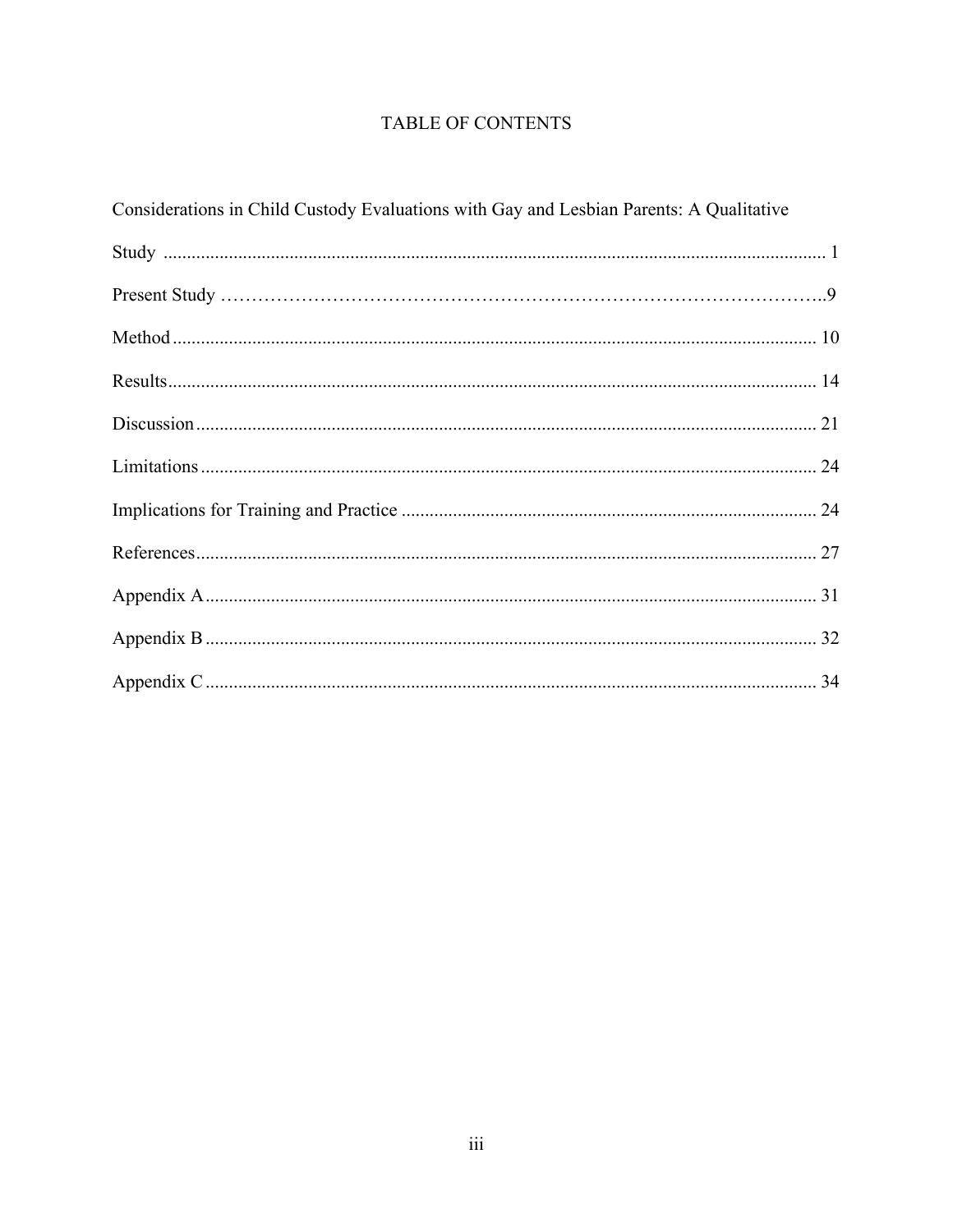## TABLE OF CONTENTS

| Considerations in Child Custody Evaluations with Gay and Lesbian Parents: A Qualitative |  |  |
|-----------------------------------------------------------------------------------------|--|--|
|                                                                                         |  |  |
|                                                                                         |  |  |
|                                                                                         |  |  |
|                                                                                         |  |  |
|                                                                                         |  |  |
|                                                                                         |  |  |
|                                                                                         |  |  |
|                                                                                         |  |  |
|                                                                                         |  |  |
|                                                                                         |  |  |
|                                                                                         |  |  |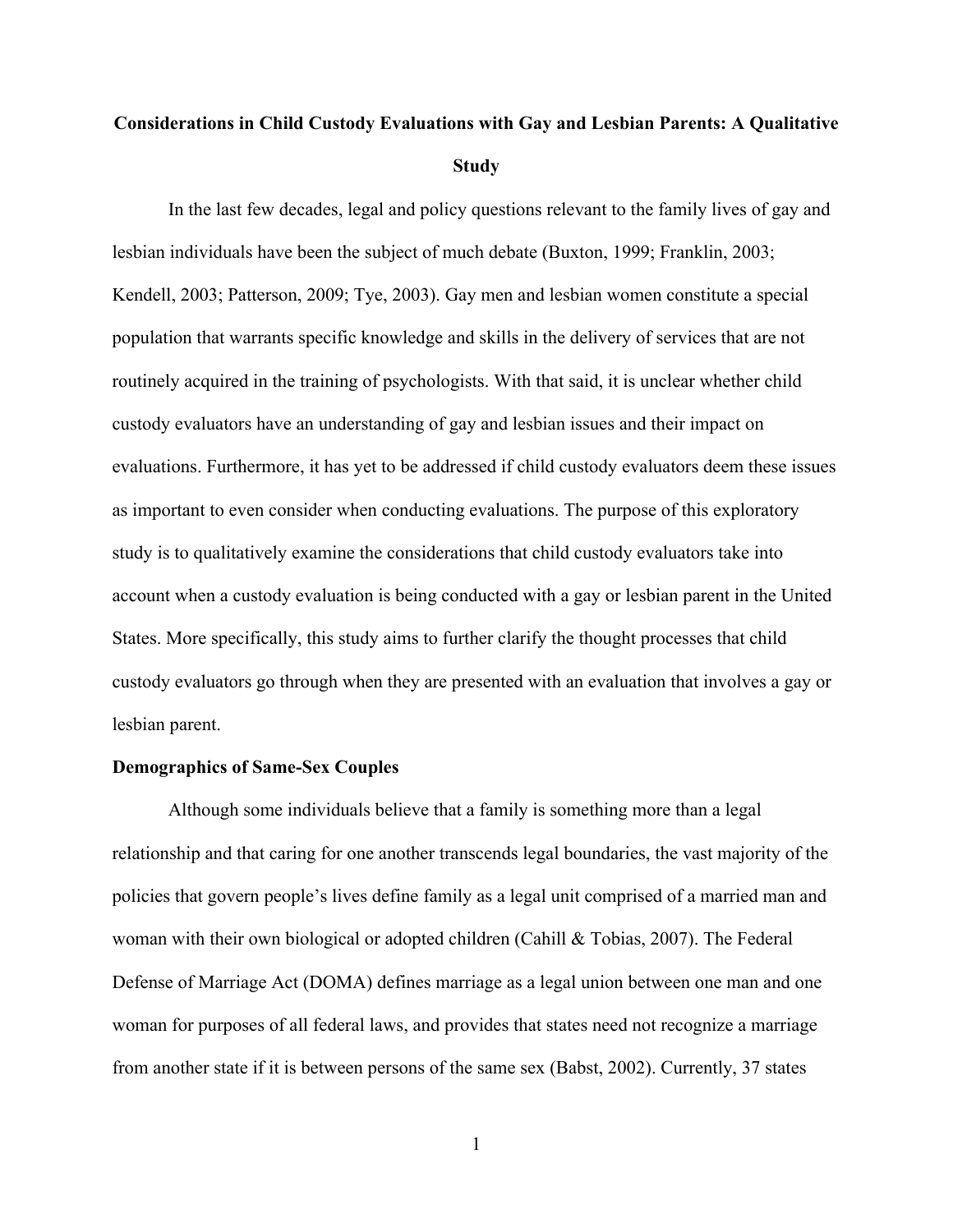# **Considerations in Child Custody Evaluations with Gay and Lesbian Parents: A Qualitative Study**

In the last few decades, legal and policy questions relevant to the family lives of gay and lesbian individuals have been the subject of much debate (Buxton, 1999; Franklin, 2003; Kendell, 2003; Patterson, 2009; Tye, 2003). Gay men and lesbian women constitute a special population that warrants specific knowledge and skills in the delivery of services that are not routinely acquired in the training of psychologists. With that said, it is unclear whether child custody evaluators have an understanding of gay and lesbian issues and their impact on evaluations. Furthermore, it has yet to be addressed if child custody evaluators deem these issues as important to even consider when conducting evaluations. The purpose of this exploratory study is to qualitatively examine the considerations that child custody evaluators take into account when a custody evaluation is being conducted with a gay or lesbian parent in the United States. More specifically, this study aims to further clarify the thought processes that child custody evaluators go through when they are presented with an evaluation that involves a gay or lesbian parent.

## **Demographics of Same-Sex Couples**

Although some individuals believe that a family is something more than a legal relationship and that caring for one another transcends legal boundaries, the vast majority of the policies that govern people's lives define family as a legal unit comprised of a married man and woman with their own biological or adopted children (Cahill & Tobias, 2007). The Federal Defense of Marriage Act (DOMA) defines marriage as a legal union between one man and one woman for purposes of all federal laws, and provides that states need not recognize a marriage from another state if it is between persons of the same sex (Babst, 2002). Currently, 37 states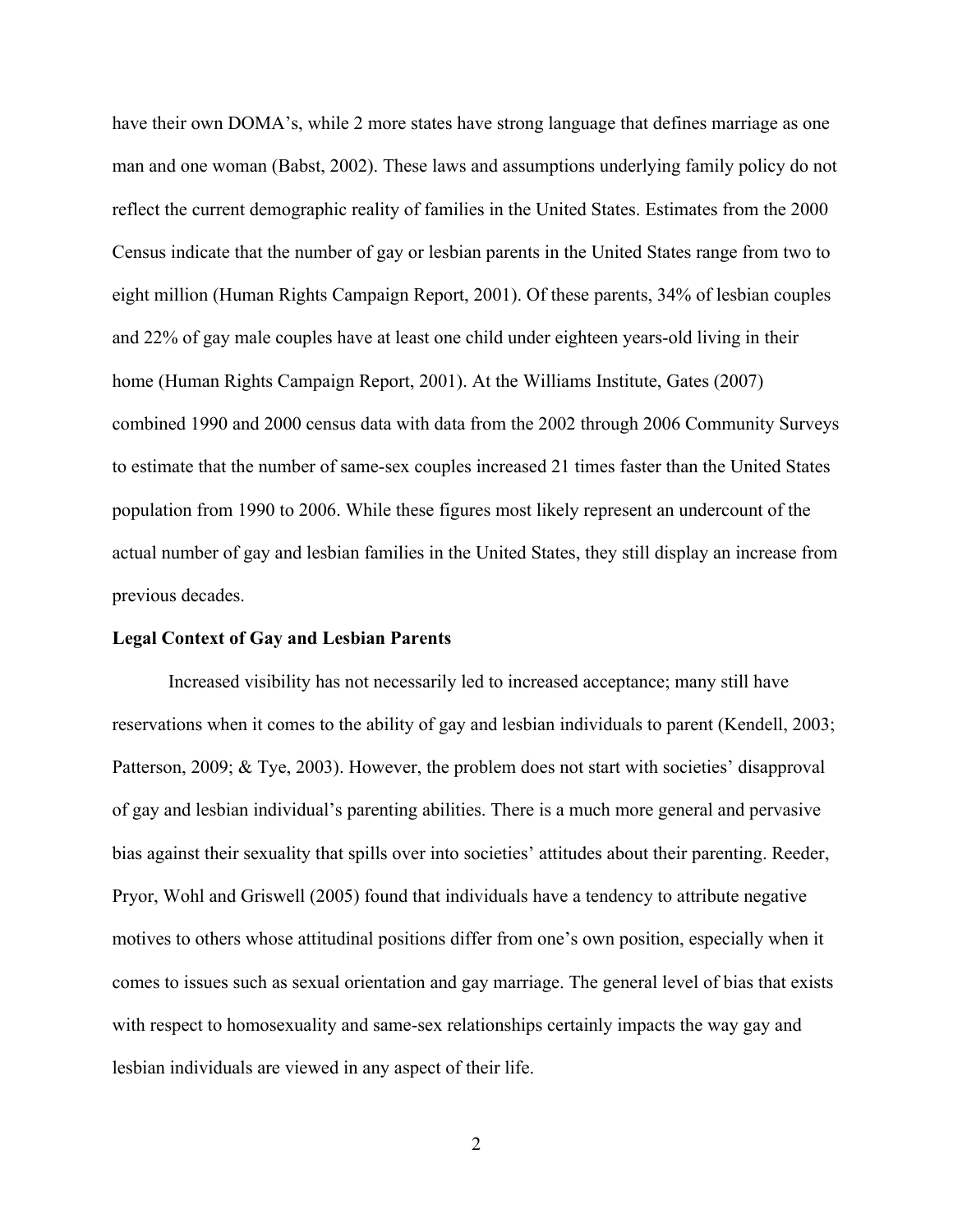have their own DOMA's, while 2 more states have strong language that defines marriage as one man and one woman (Babst, 2002). These laws and assumptions underlying family policy do not reflect the current demographic reality of families in the United States. Estimates from the 2000 Census indicate that the number of gay or lesbian parents in the United States range from two to eight million (Human Rights Campaign Report, 2001). Of these parents, 34% of lesbian couples and 22% of gay male couples have at least one child under eighteen years-old living in their home (Human Rights Campaign Report, 2001). At the Williams Institute, Gates (2007) combined 1990 and 2000 census data with data from the 2002 through 2006 Community Surveys to estimate that the number of same-sex couples increased 21 times faster than the United States population from 1990 to 2006. While these figures most likely represent an undercount of the actual number of gay and lesbian families in the United States, they still display an increase from previous decades.

## **Legal Context of Gay and Lesbian Parents**

Increased visibility has not necessarily led to increased acceptance; many still have reservations when it comes to the ability of gay and lesbian individuals to parent (Kendell, 2003; Patterson, 2009; & Tye, 2003). However, the problem does not start with societies' disapproval of gay and lesbian individual's parenting abilities. There is a much more general and pervasive bias against their sexuality that spills over into societies' attitudes about their parenting. Reeder, Pryor, Wohl and Griswell (2005) found that individuals have a tendency to attribute negative motives to others whose attitudinal positions differ from one's own position, especially when it comes to issues such as sexual orientation and gay marriage. The general level of bias that exists with respect to homosexuality and same-sex relationships certainly impacts the way gay and lesbian individuals are viewed in any aspect of their life.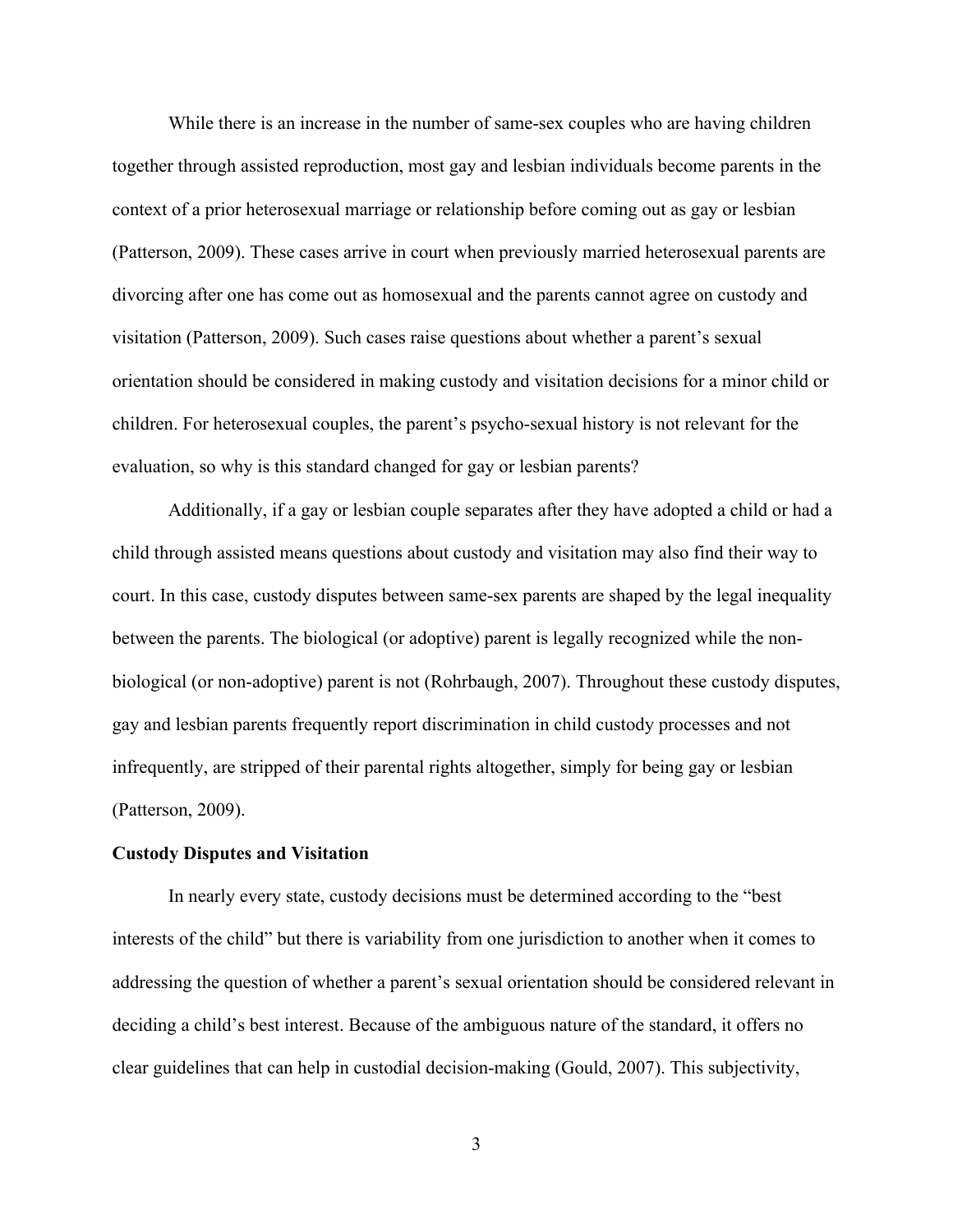While there is an increase in the number of same-sex couples who are having children together through assisted reproduction, most gay and lesbian individuals become parents in the context of a prior heterosexual marriage or relationship before coming out as gay or lesbian (Patterson, 2009). These cases arrive in court when previously married heterosexual parents are divorcing after one has come out as homosexual and the parents cannot agree on custody and visitation (Patterson, 2009). Such cases raise questions about whether a parent's sexual orientation should be considered in making custody and visitation decisions for a minor child or children. For heterosexual couples, the parent's psycho-sexual history is not relevant for the evaluation, so why is this standard changed for gay or lesbian parents?

Additionally, if a gay or lesbian couple separates after they have adopted a child or had a child through assisted means questions about custody and visitation may also find their way to court. In this case, custody disputes between same-sex parents are shaped by the legal inequality between the parents. The biological (or adoptive) parent is legally recognized while the nonbiological (or non-adoptive) parent is not (Rohrbaugh, 2007). Throughout these custody disputes, gay and lesbian parents frequently report discrimination in child custody processes and not infrequently, are stripped of their parental rights altogether, simply for being gay or lesbian (Patterson, 2009).

## **Custody Disputes and Visitation**

In nearly every state, custody decisions must be determined according to the "best interests of the child" but there is variability from one jurisdiction to another when it comes to addressing the question of whether a parent's sexual orientation should be considered relevant in deciding a child's best interest. Because of the ambiguous nature of the standard, it offers no clear guidelines that can help in custodial decision-making (Gould, 2007). This subjectivity,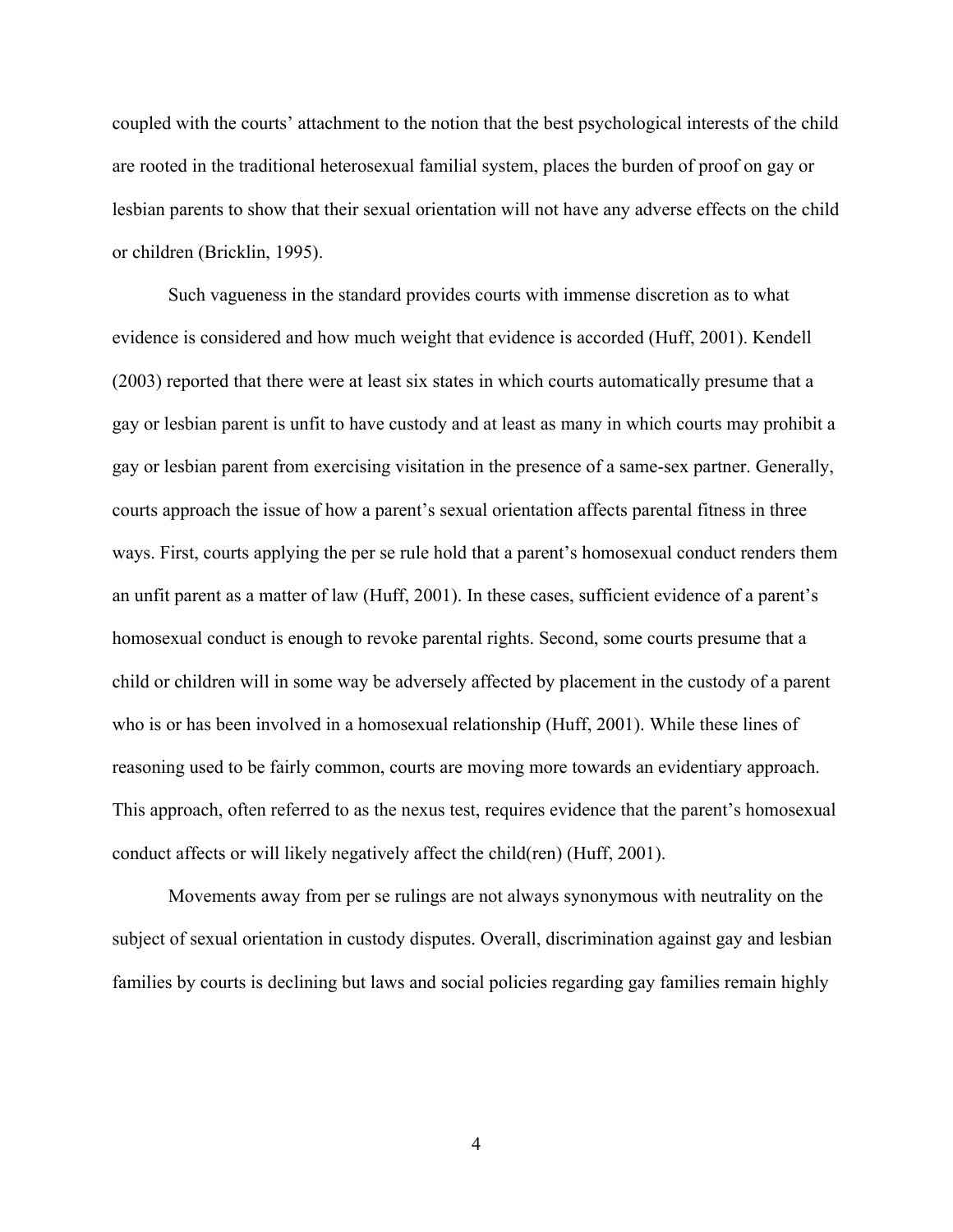coupled with the courts' attachment to the notion that the best psychological interests of the child are rooted in the traditional heterosexual familial system, places the burden of proof on gay or lesbian parents to show that their sexual orientation will not have any adverse effects on the child or children (Bricklin, 1995).

Such vagueness in the standard provides courts with immense discretion as to what evidence is considered and how much weight that evidence is accorded (Huff, 2001). Kendell (2003) reported that there were at least six states in which courts automatically presume that a gay or lesbian parent is unfit to have custody and at least as many in which courts may prohibit a gay or lesbian parent from exercising visitation in the presence of a same-sex partner. Generally, courts approach the issue of how a parent's sexual orientation affects parental fitness in three ways. First, courts applying the per se rule hold that a parent's homosexual conduct renders them an unfit parent as a matter of law (Huff, 2001). In these cases, sufficient evidence of a parent's homosexual conduct is enough to revoke parental rights. Second, some courts presume that a child or children will in some way be adversely affected by placement in the custody of a parent who is or has been involved in a homosexual relationship (Huff, 2001). While these lines of reasoning used to be fairly common, courts are moving more towards an evidentiary approach. This approach, often referred to as the nexus test, requires evidence that the parent's homosexual conduct affects or will likely negatively affect the child(ren) (Huff, 2001).

Movements away from per se rulings are not always synonymous with neutrality on the subject of sexual orientation in custody disputes. Overall, discrimination against gay and lesbian families by courts is declining but laws and social policies regarding gay families remain highly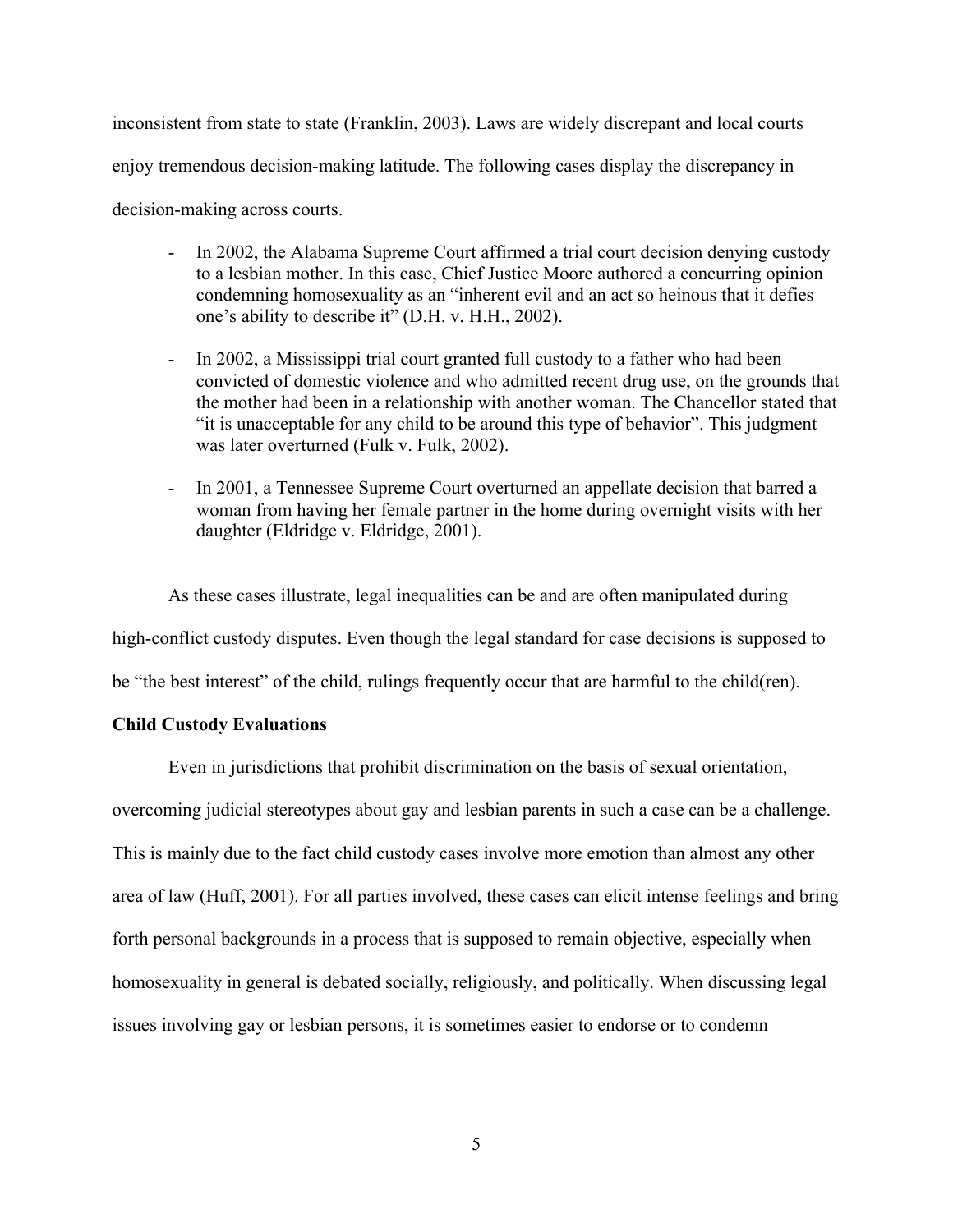inconsistent from state to state (Franklin, 2003). Laws are widely discrepant and local courts enjoy tremendous decision-making latitude. The following cases display the discrepancy in decision-making across courts.

- In 2002, the Alabama Supreme Court affirmed a trial court decision denying custody to a lesbian mother. In this case, Chief Justice Moore authored a concurring opinion condemning homosexuality as an "inherent evil and an act so heinous that it defies one's ability to describe it" (D.H. v. H.H., 2002).
- In 2002, a Mississippi trial court granted full custody to a father who had been convicted of domestic violence and who admitted recent drug use, on the grounds that the mother had been in a relationship with another woman. The Chancellor stated that "it is unacceptable for any child to be around this type of behavior". This judgment was later overturned (Fulk v. Fulk, 2002).
- In 2001, a Tennessee Supreme Court overturned an appellate decision that barred a woman from having her female partner in the home during overnight visits with her daughter (Eldridge v. Eldridge, 2001).

As these cases illustrate, legal inequalities can be and are often manipulated during high-conflict custody disputes. Even though the legal standard for case decisions is supposed to be "the best interest" of the child, rulings frequently occur that are harmful to the child(ren).

## **Child Custody Evaluations**

Even in jurisdictions that prohibit discrimination on the basis of sexual orientation, overcoming judicial stereotypes about gay and lesbian parents in such a case can be a challenge. This is mainly due to the fact child custody cases involve more emotion than almost any other area of law (Huff, 2001). For all parties involved, these cases can elicit intense feelings and bring forth personal backgrounds in a process that is supposed to remain objective, especially when homosexuality in general is debated socially, religiously, and politically. When discussing legal issues involving gay or lesbian persons, it is sometimes easier to endorse or to condemn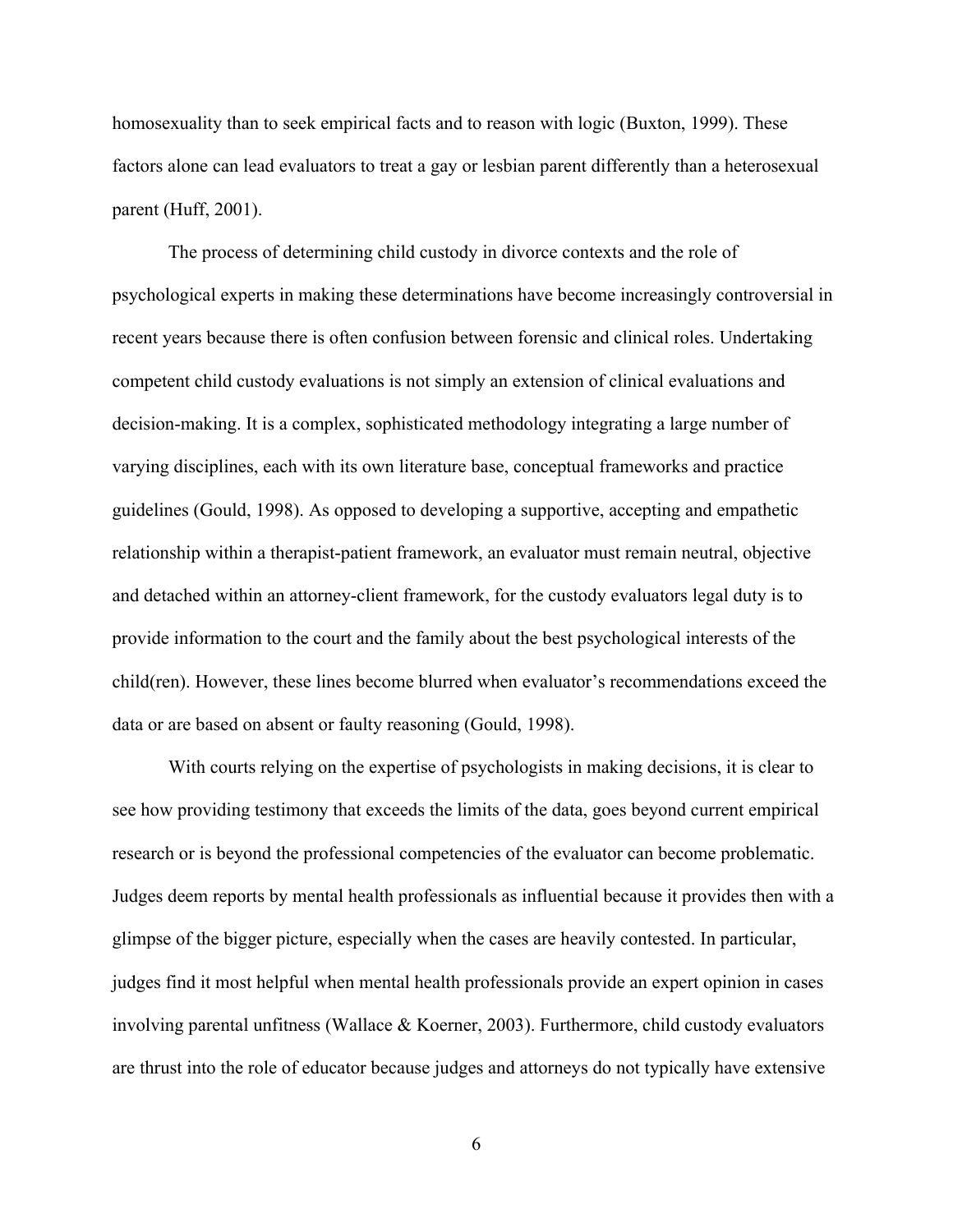homosexuality than to seek empirical facts and to reason with logic (Buxton, 1999). These factors alone can lead evaluators to treat a gay or lesbian parent differently than a heterosexual parent (Huff, 2001).

The process of determining child custody in divorce contexts and the role of psychological experts in making these determinations have become increasingly controversial in recent years because there is often confusion between forensic and clinical roles. Undertaking competent child custody evaluations is not simply an extension of clinical evaluations and decision-making. It is a complex, sophisticated methodology integrating a large number of varying disciplines, each with its own literature base, conceptual frameworks and practice guidelines (Gould, 1998). As opposed to developing a supportive, accepting and empathetic relationship within a therapist-patient framework, an evaluator must remain neutral, objective and detached within an attorney-client framework, for the custody evaluators legal duty is to provide information to the court and the family about the best psychological interests of the child(ren). However, these lines become blurred when evaluator's recommendations exceed the data or are based on absent or faulty reasoning (Gould, 1998).

With courts relying on the expertise of psychologists in making decisions, it is clear to see how providing testimony that exceeds the limits of the data, goes beyond current empirical research or is beyond the professional competencies of the evaluator can become problematic. Judges deem reports by mental health professionals as influential because it provides then with a glimpse of the bigger picture, especially when the cases are heavily contested. In particular, judges find it most helpful when mental health professionals provide an expert opinion in cases involving parental unfitness (Wallace & Koerner, 2003). Furthermore, child custody evaluators are thrust into the role of educator because judges and attorneys do not typically have extensive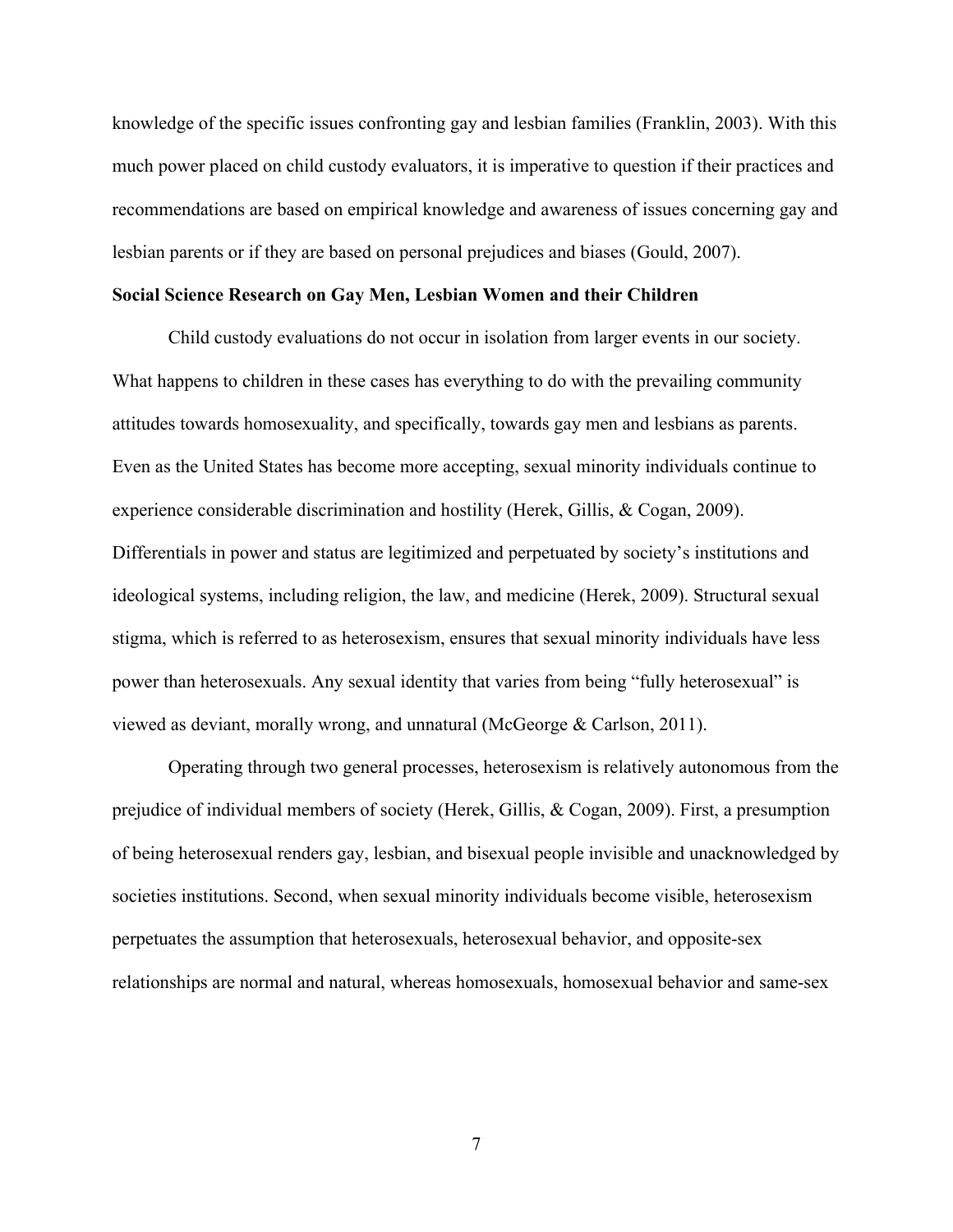knowledge of the specific issues confronting gay and lesbian families (Franklin, 2003). With this much power placed on child custody evaluators, it is imperative to question if their practices and recommendations are based on empirical knowledge and awareness of issues concerning gay and lesbian parents or if they are based on personal prejudices and biases (Gould, 2007).

## **Social Science Research on Gay Men, Lesbian Women and their Children**

Child custody evaluations do not occur in isolation from larger events in our society. What happens to children in these cases has everything to do with the prevailing community attitudes towards homosexuality, and specifically, towards gay men and lesbians as parents. Even as the United States has become more accepting, sexual minority individuals continue to experience considerable discrimination and hostility (Herek, Gillis, & Cogan, 2009). Differentials in power and status are legitimized and perpetuated by society's institutions and ideological systems, including religion, the law, and medicine (Herek, 2009). Structural sexual stigma, which is referred to as heterosexism, ensures that sexual minority individuals have less power than heterosexuals. Any sexual identity that varies from being "fully heterosexual" is viewed as deviant, morally wrong, and unnatural (McGeorge & Carlson, 2011).

Operating through two general processes, heterosexism is relatively autonomous from the prejudice of individual members of society (Herek, Gillis, & Cogan, 2009). First, a presumption of being heterosexual renders gay, lesbian, and bisexual people invisible and unacknowledged by societies institutions. Second, when sexual minority individuals become visible, heterosexism perpetuates the assumption that heterosexuals, heterosexual behavior, and opposite-sex relationships are normal and natural, whereas homosexuals, homosexual behavior and same-sex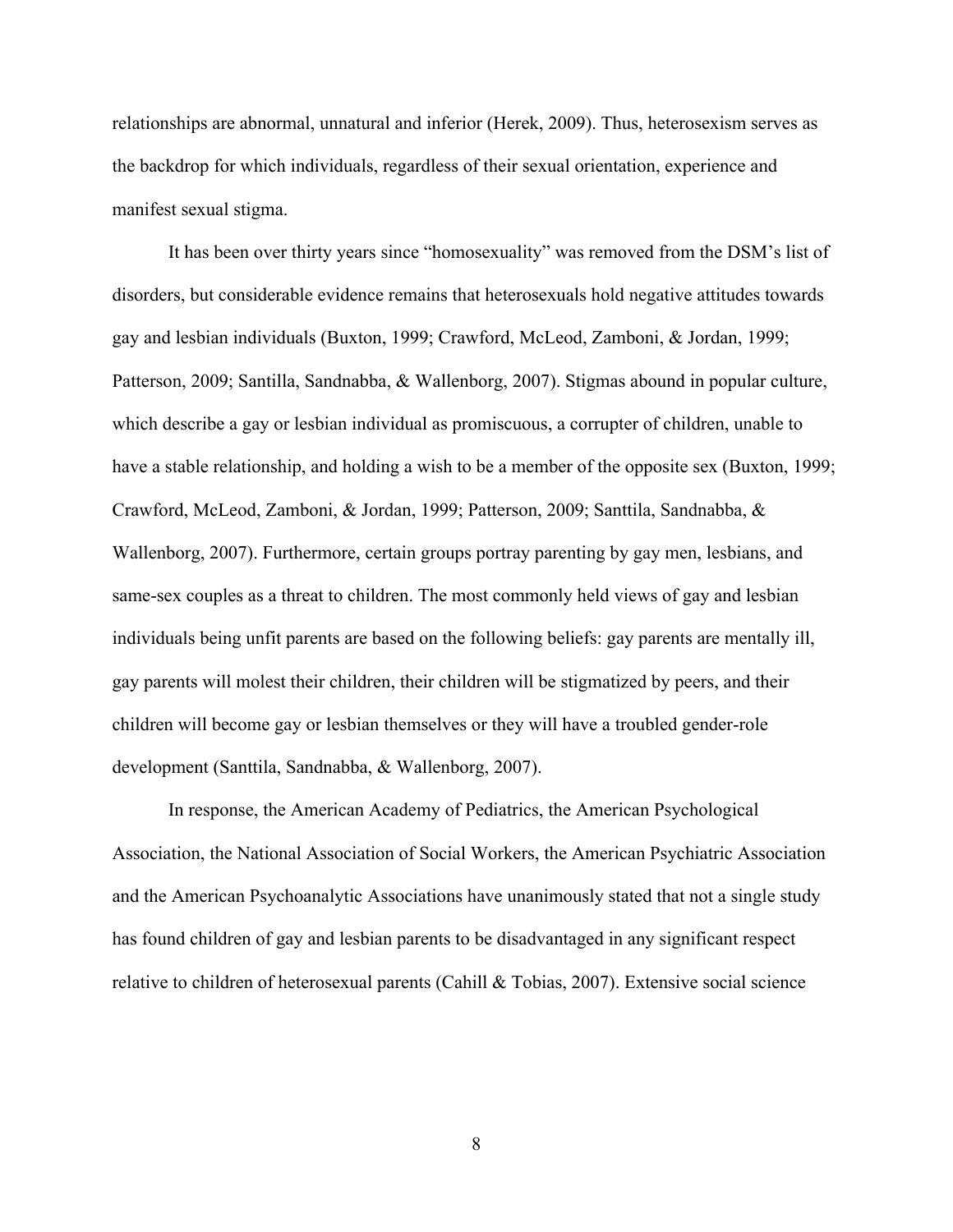relationships are abnormal, unnatural and inferior (Herek, 2009). Thus, heterosexism serves as the backdrop for which individuals, regardless of their sexual orientation, experience and manifest sexual stigma.

It has been over thirty years since "homosexuality" was removed from the DSM's list of disorders, but considerable evidence remains that heterosexuals hold negative attitudes towards gay and lesbian individuals (Buxton, 1999; Crawford, McLeod, Zamboni, & Jordan, 1999; Patterson, 2009; Santilla, Sandnabba, & Wallenborg, 2007). Stigmas abound in popular culture, which describe a gay or lesbian individual as promiscuous, a corrupter of children, unable to have a stable relationship, and holding a wish to be a member of the opposite sex (Buxton, 1999; Crawford, McLeod, Zamboni, & Jordan, 1999; Patterson, 2009; Santtila, Sandnabba, & Wallenborg, 2007). Furthermore, certain groups portray parenting by gay men, lesbians, and same-sex couples as a threat to children. The most commonly held views of gay and lesbian individuals being unfit parents are based on the following beliefs: gay parents are mentally ill, gay parents will molest their children, their children will be stigmatized by peers, and their children will become gay or lesbian themselves or they will have a troubled gender-role development (Santtila, Sandnabba, & Wallenborg, 2007).

In response, the American Academy of Pediatrics, the American Psychological Association, the National Association of Social Workers, the American Psychiatric Association and the American Psychoanalytic Associations have unanimously stated that not a single study has found children of gay and lesbian parents to be disadvantaged in any significant respect relative to children of heterosexual parents (Cahill & Tobias, 2007). Extensive social science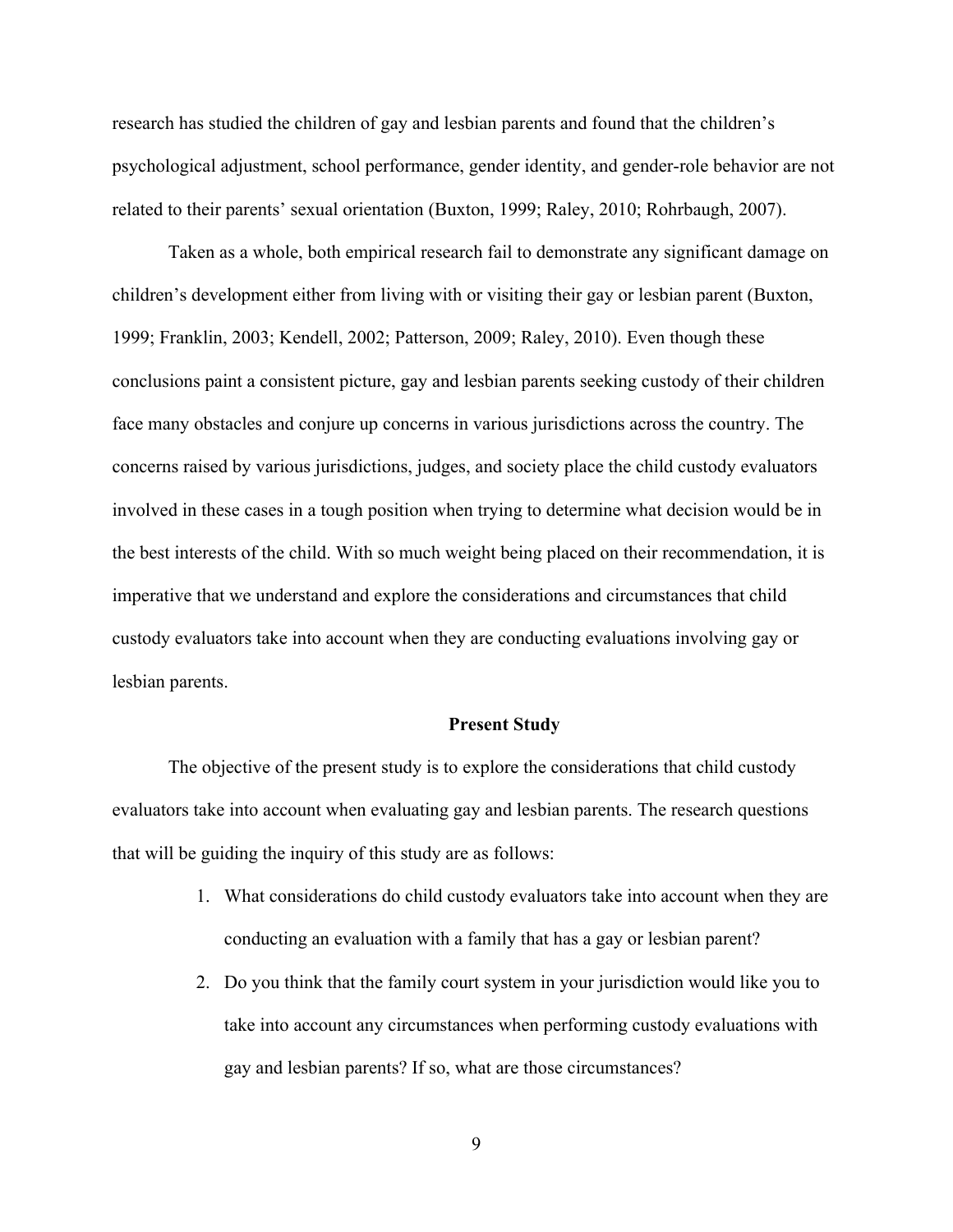research has studied the children of gay and lesbian parents and found that the children's psychological adjustment, school performance, gender identity, and gender-role behavior are not related to their parents' sexual orientation (Buxton, 1999; Raley, 2010; Rohrbaugh, 2007).

Taken as a whole, both empirical research fail to demonstrate any significant damage on children's development either from living with or visiting their gay or lesbian parent (Buxton, 1999; Franklin, 2003; Kendell, 2002; Patterson, 2009; Raley, 2010). Even though these conclusions paint a consistent picture, gay and lesbian parents seeking custody of their children face many obstacles and conjure up concerns in various jurisdictions across the country. The concerns raised by various jurisdictions, judges, and society place the child custody evaluators involved in these cases in a tough position when trying to determine what decision would be in the best interests of the child. With so much weight being placed on their recommendation, it is imperative that we understand and explore the considerations and circumstances that child custody evaluators take into account when they are conducting evaluations involving gay or lesbian parents.

#### **Present Study**

The objective of the present study is to explore the considerations that child custody evaluators take into account when evaluating gay and lesbian parents. The research questions that will be guiding the inquiry of this study are as follows:

- 1. What considerations do child custody evaluators take into account when they are conducting an evaluation with a family that has a gay or lesbian parent?
- 2. Do you think that the family court system in your jurisdiction would like you to take into account any circumstances when performing custody evaluations with gay and lesbian parents? If so, what are those circumstances?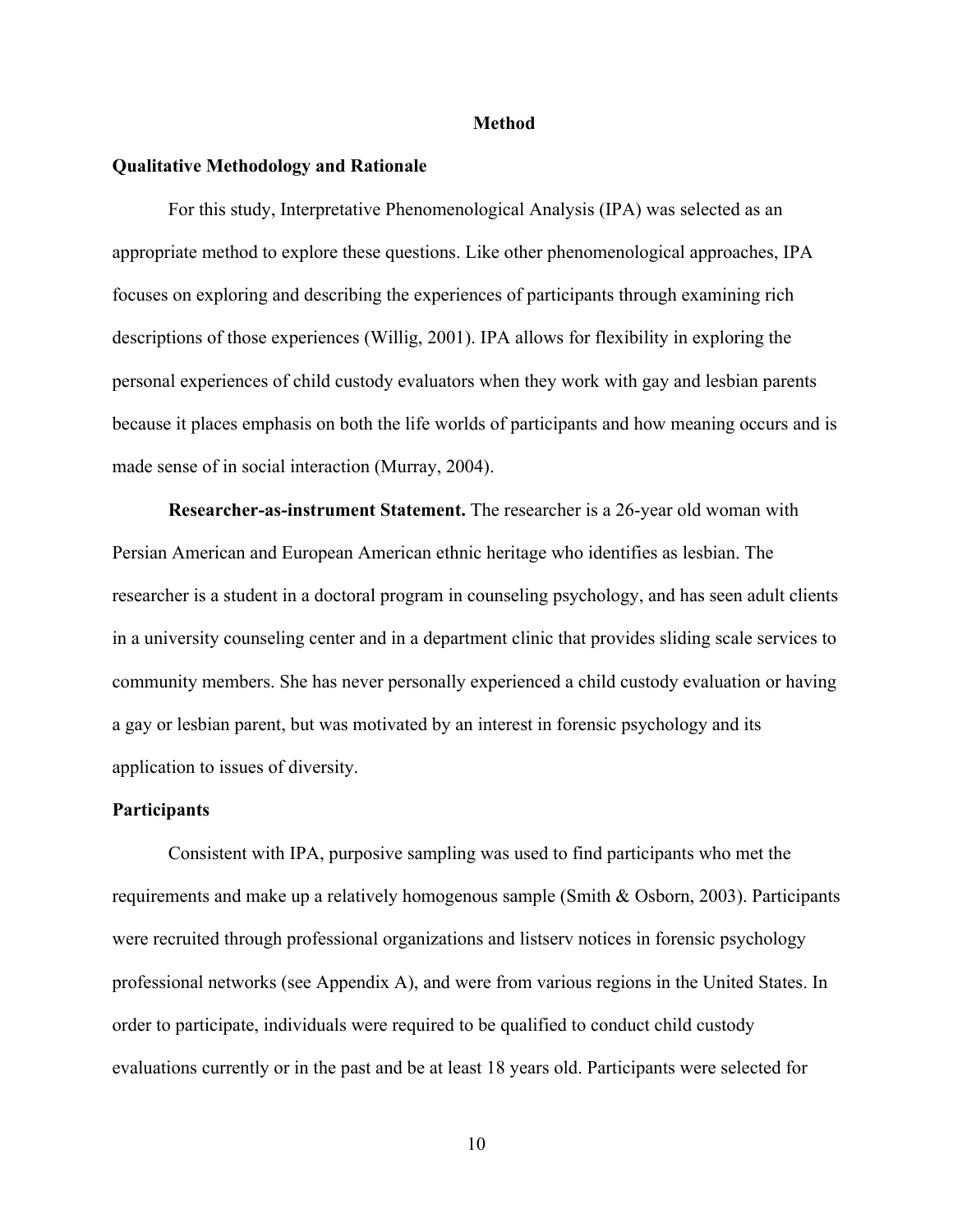#### **Method**

#### **Qualitative Methodology and Rationale**

For this study, Interpretative Phenomenological Analysis (IPA) was selected as an appropriate method to explore these questions. Like other phenomenological approaches, IPA focuses on exploring and describing the experiences of participants through examining rich descriptions of those experiences (Willig, 2001). IPA allows for flexibility in exploring the personal experiences of child custody evaluators when they work with gay and lesbian parents because it places emphasis on both the life worlds of participants and how meaning occurs and is made sense of in social interaction (Murray, 2004).

**Researcher-as-instrument Statement.** The researcher is a 26-year old woman with Persian American and European American ethnic heritage who identifies as lesbian. The researcher is a student in a doctoral program in counseling psychology, and has seen adult clients in a university counseling center and in a department clinic that provides sliding scale services to community members. She has never personally experienced a child custody evaluation or having a gay or lesbian parent, but was motivated by an interest in forensic psychology and its application to issues of diversity.

## **Participants**

Consistent with IPA, purposive sampling was used to find participants who met the requirements and make up a relatively homogenous sample (Smith & Osborn, 2003). Participants were recruited through professional organizations and listserv notices in forensic psychology professional networks (see Appendix A), and were from various regions in the United States. In order to participate, individuals were required to be qualified to conduct child custody evaluations currently or in the past and be at least 18 years old. Participants were selected for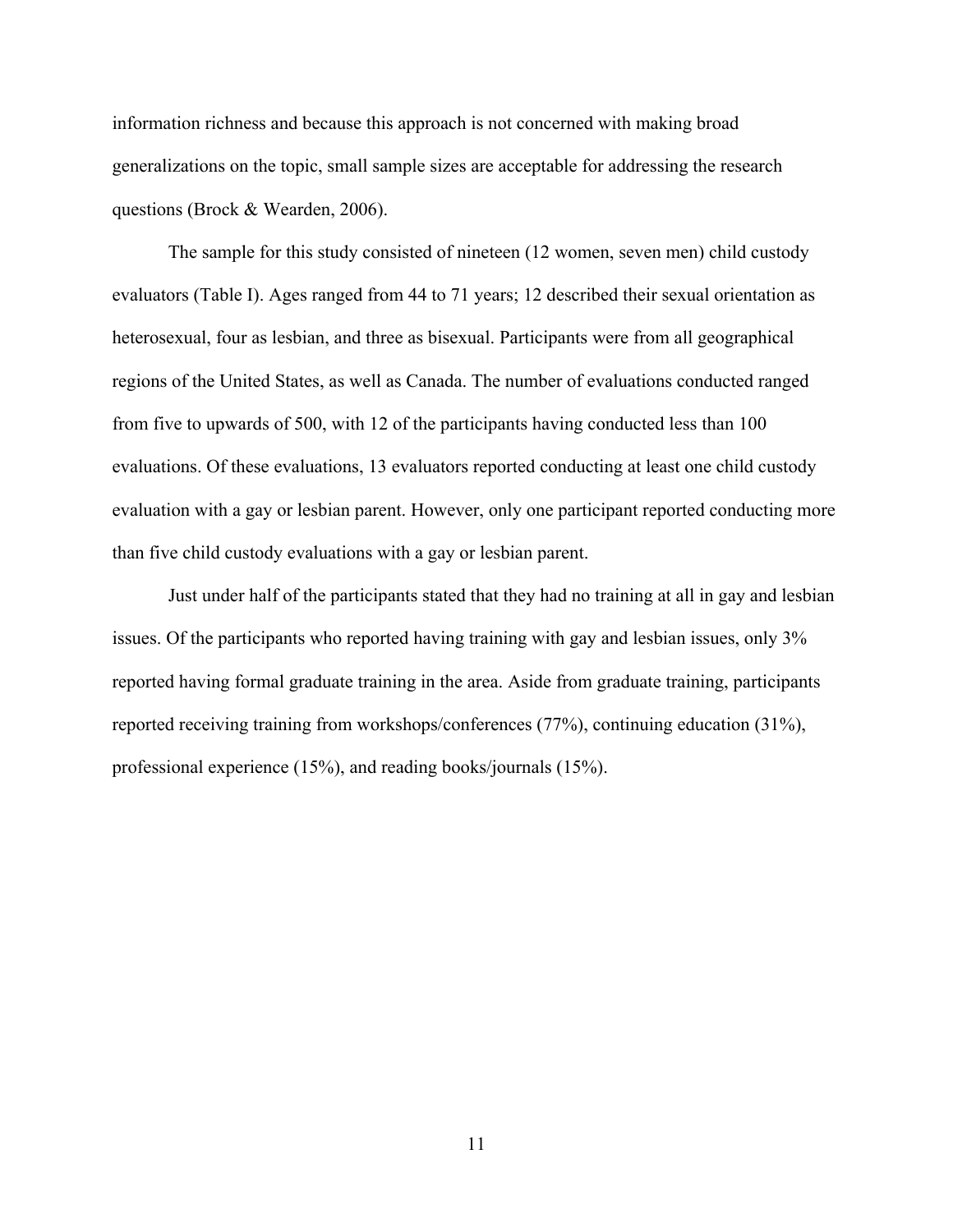information richness and because this approach is not concerned with making broad generalizations on the topic, small sample sizes are acceptable for addressing the research questions (Brock & Wearden, 2006).

The sample for this study consisted of nineteen (12 women, seven men) child custody evaluators (Table I). Ages ranged from 44 to 71 years; 12 described their sexual orientation as heterosexual, four as lesbian, and three as bisexual. Participants were from all geographical regions of the United States, as well as Canada. The number of evaluations conducted ranged from five to upwards of 500, with 12 of the participants having conducted less than 100 evaluations. Of these evaluations, 13 evaluators reported conducting at least one child custody evaluation with a gay or lesbian parent. However, only one participant reported conducting more than five child custody evaluations with a gay or lesbian parent.

Just under half of the participants stated that they had no training at all in gay and lesbian issues. Of the participants who reported having training with gay and lesbian issues, only 3% reported having formal graduate training in the area. Aside from graduate training, participants reported receiving training from workshops/conferences (77%), continuing education (31%), professional experience (15%), and reading books/journals (15%).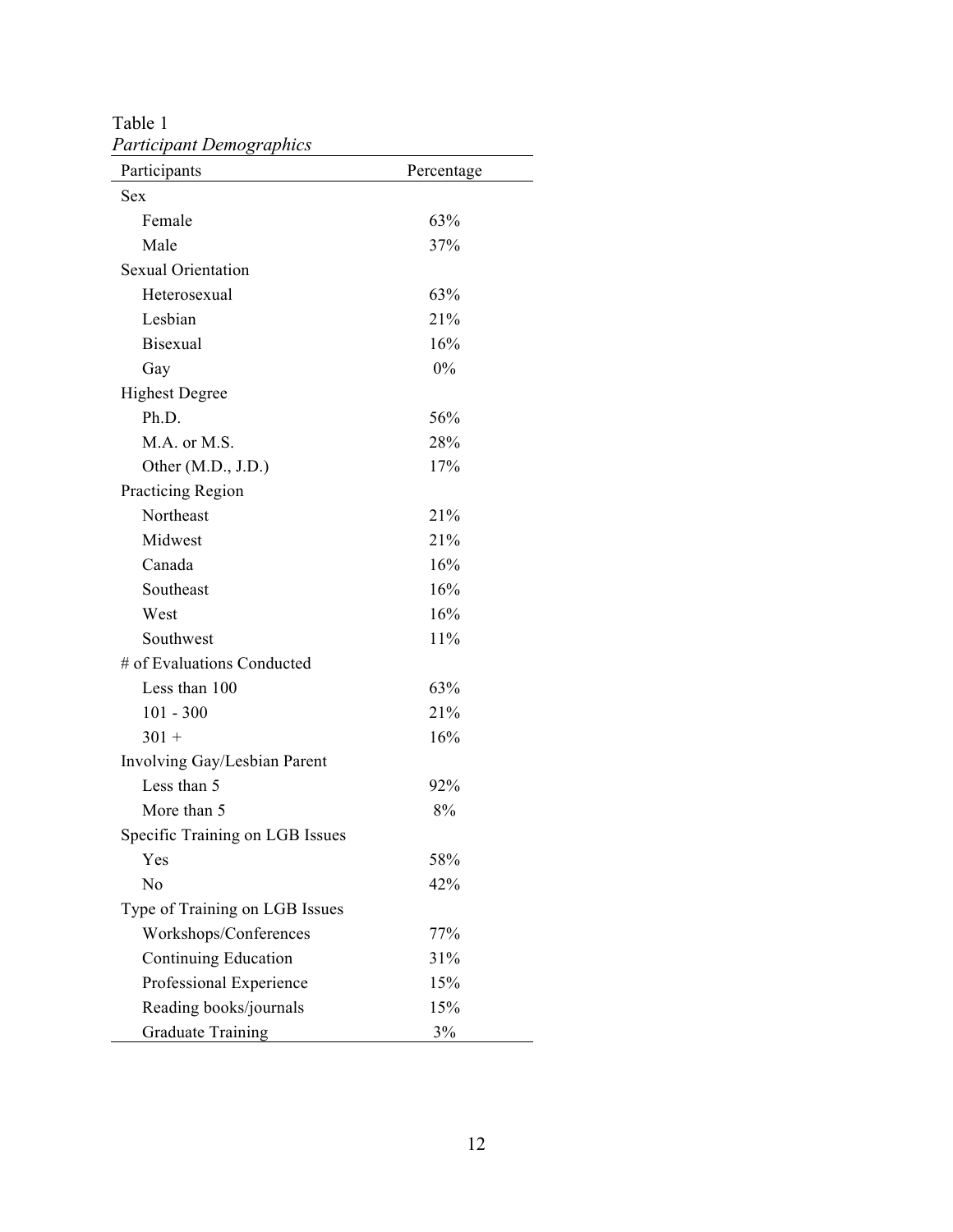Table 1 *Participant Demographics* 

| Participants                    | Percentage |  |
|---------------------------------|------------|--|
| <b>Sex</b>                      |            |  |
| Female                          | 63%        |  |
| Male                            | 37%        |  |
| <b>Sexual Orientation</b>       |            |  |
| Heterosexual                    | 63%        |  |
| Lesbian                         | 21%        |  |
| <b>Bisexual</b>                 | 16%        |  |
| Gay                             | $0\%$      |  |
| <b>Highest Degree</b>           |            |  |
| Ph.D.                           | 56%        |  |
| M.A. or M.S.                    | 28%        |  |
| Other $(M.D., J.D.)$            | 17%        |  |
| Practicing Region               |            |  |
| Northeast                       | 21%        |  |
| Midwest                         | 21%        |  |
| Canada                          | 16%        |  |
| Southeast                       | 16%        |  |
| West                            | 16%        |  |
| Southwest                       | 11%        |  |
| # of Evaluations Conducted      |            |  |
| Less than 100                   | 63%        |  |
| $101 - 300$                     | 21%        |  |
| $301 +$                         | 16%        |  |
| Involving Gay/Lesbian Parent    |            |  |
| Less than 5                     | 92%        |  |
| More than 5                     | 8%         |  |
| Specific Training on LGB Issues |            |  |
| Yes                             | 58%        |  |
| No                              | 42%        |  |
| Type of Training on LGB Issues  |            |  |
| Workshops/Conferences           | 77%        |  |
| Continuing Education            | 31%        |  |
| Professional Experience         | 15%        |  |
| Reading books/journals          | 15%        |  |
| <b>Graduate Training</b>        | 3%         |  |

 $\overline{\phantom{0}}$  $\overline{\phantom{0}}$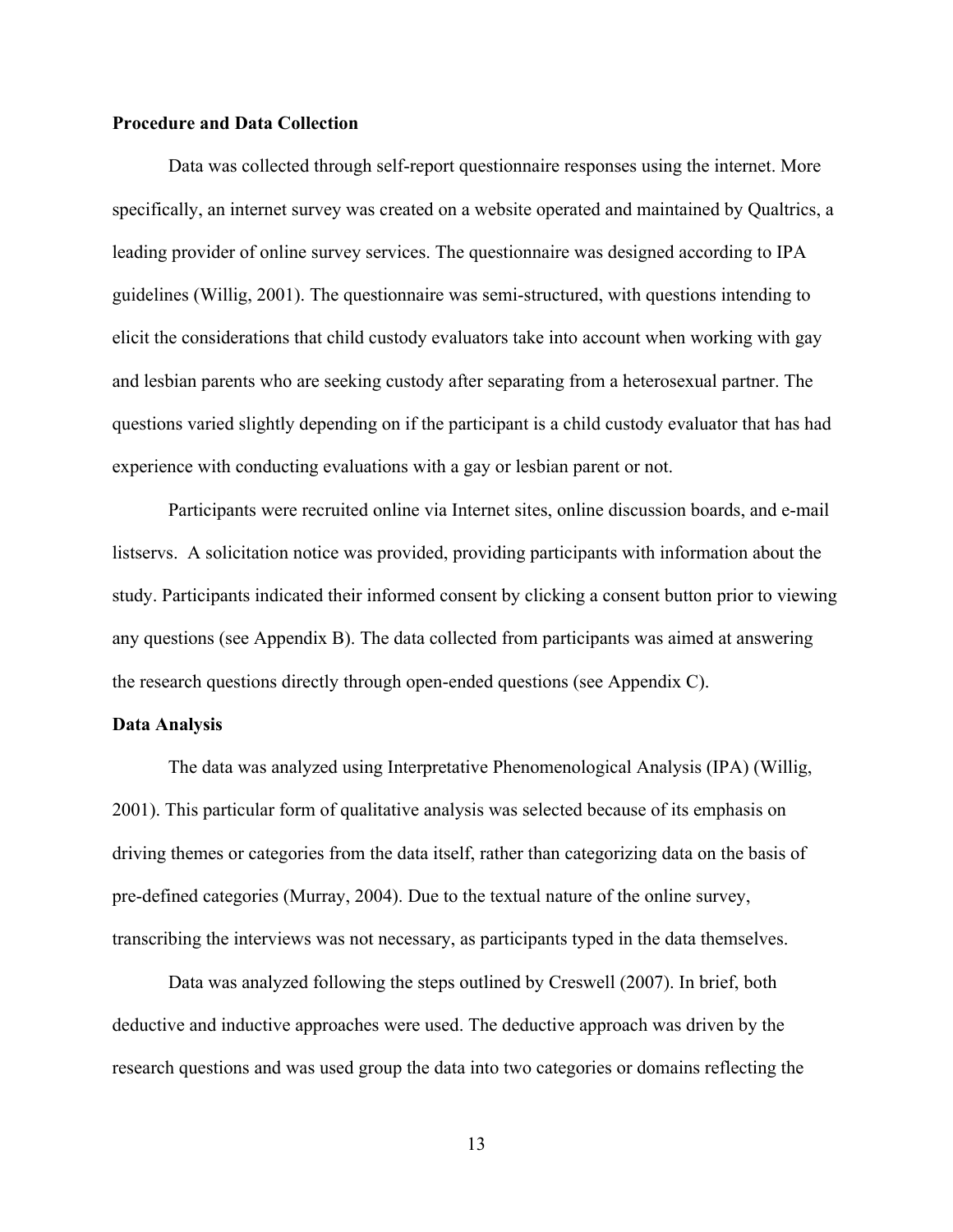## **Procedure and Data Collection**

Data was collected through self-report questionnaire responses using the internet. More specifically, an internet survey was created on a website operated and maintained by Qualtrics, a leading provider of online survey services. The questionnaire was designed according to IPA guidelines (Willig, 2001). The questionnaire was semi-structured, with questions intending to elicit the considerations that child custody evaluators take into account when working with gay and lesbian parents who are seeking custody after separating from a heterosexual partner. The questions varied slightly depending on if the participant is a child custody evaluator that has had experience with conducting evaluations with a gay or lesbian parent or not.

Participants were recruited online via Internet sites, online discussion boards, and e-mail listservs. A solicitation notice was provided, providing participants with information about the study. Participants indicated their informed consent by clicking a consent button prior to viewing any questions (see Appendix B). The data collected from participants was aimed at answering the research questions directly through open-ended questions (see Appendix C).

#### **Data Analysis**

The data was analyzed using Interpretative Phenomenological Analysis (IPA) (Willig, 2001). This particular form of qualitative analysis was selected because of its emphasis on driving themes or categories from the data itself, rather than categorizing data on the basis of pre-defined categories (Murray, 2004). Due to the textual nature of the online survey, transcribing the interviews was not necessary, as participants typed in the data themselves.

Data was analyzed following the steps outlined by Creswell (2007). In brief, both deductive and inductive approaches were used. The deductive approach was driven by the research questions and was used group the data into two categories or domains reflecting the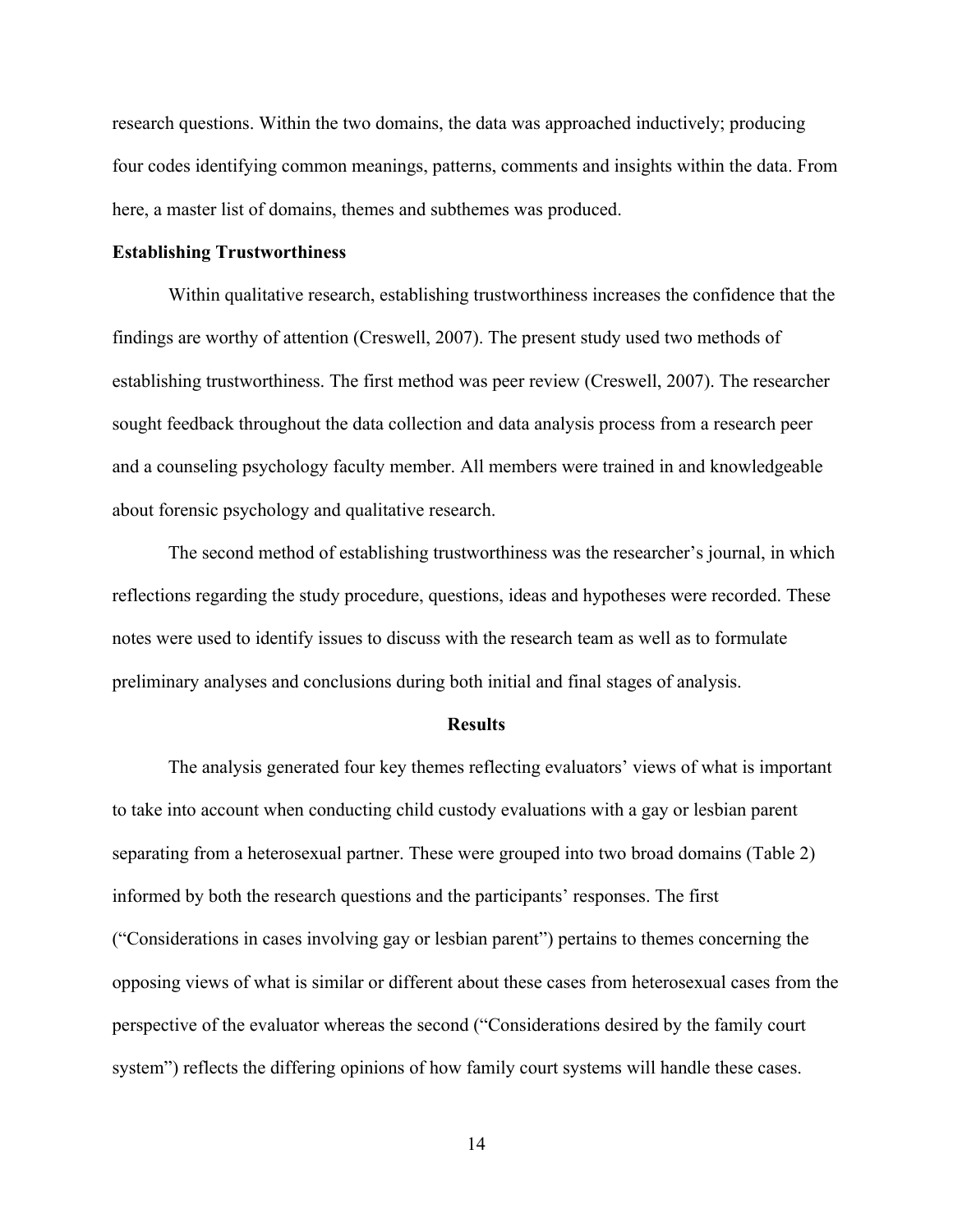research questions. Within the two domains, the data was approached inductively; producing four codes identifying common meanings, patterns, comments and insights within the data. From here, a master list of domains, themes and subthemes was produced.

#### **Establishing Trustworthiness**

Within qualitative research, establishing trustworthiness increases the confidence that the findings are worthy of attention (Creswell, 2007). The present study used two methods of establishing trustworthiness. The first method was peer review (Creswell, 2007). The researcher sought feedback throughout the data collection and data analysis process from a research peer and a counseling psychology faculty member. All members were trained in and knowledgeable about forensic psychology and qualitative research.

The second method of establishing trustworthiness was the researcher's journal, in which reflections regarding the study procedure, questions, ideas and hypotheses were recorded. These notes were used to identify issues to discuss with the research team as well as to formulate preliminary analyses and conclusions during both initial and final stages of analysis.

#### **Results**

The analysis generated four key themes reflecting evaluators' views of what is important to take into account when conducting child custody evaluations with a gay or lesbian parent separating from a heterosexual partner. These were grouped into two broad domains (Table 2) informed by both the research questions and the participants' responses. The first ("Considerations in cases involving gay or lesbian parent") pertains to themes concerning the opposing views of what is similar or different about these cases from heterosexual cases from the perspective of the evaluator whereas the second ("Considerations desired by the family court system") reflects the differing opinions of how family court systems will handle these cases.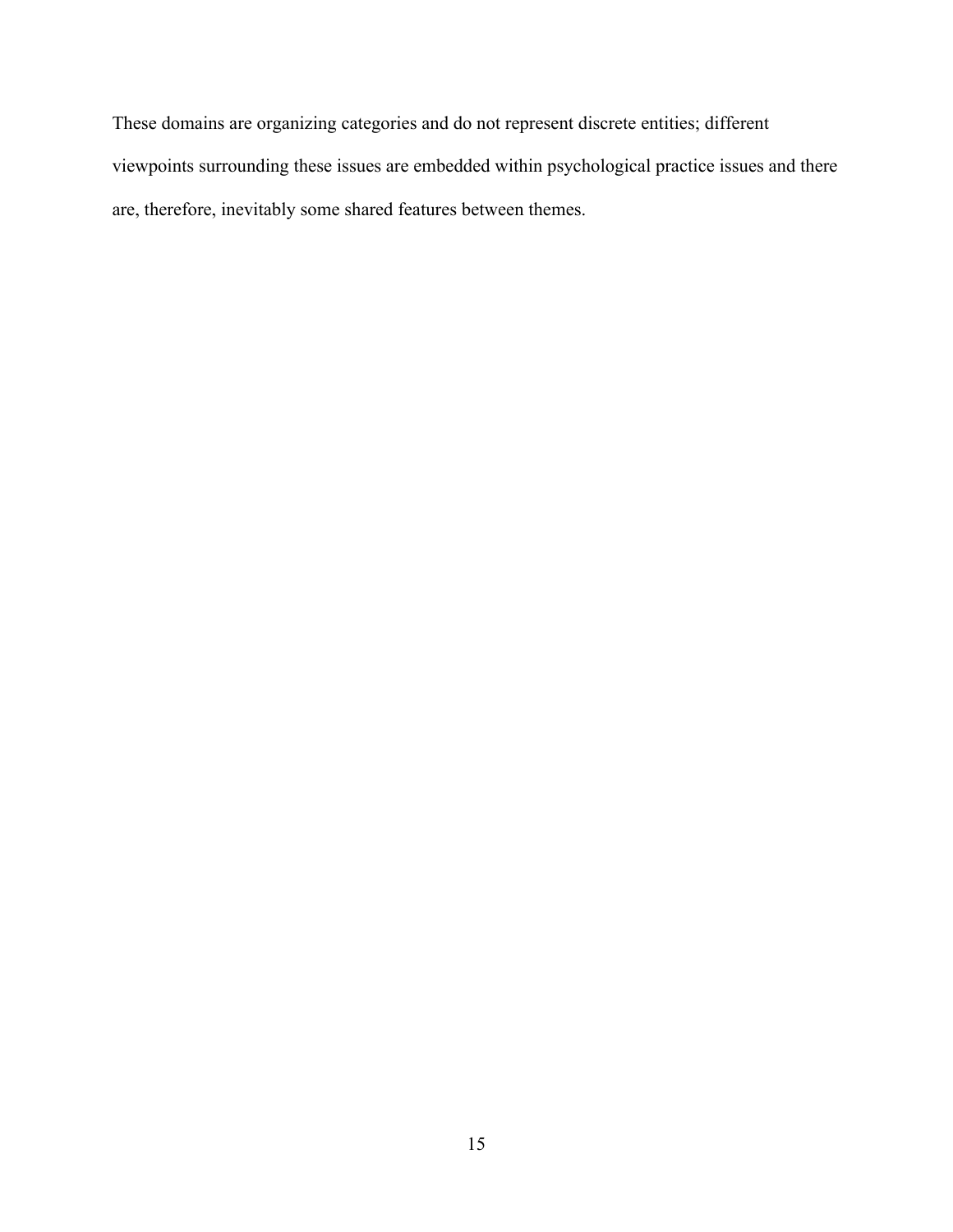These domains are organizing categories and do not represent discrete entities; different viewpoints surrounding these issues are embedded within psychological practice issues and there are, therefore, inevitably some shared features between themes.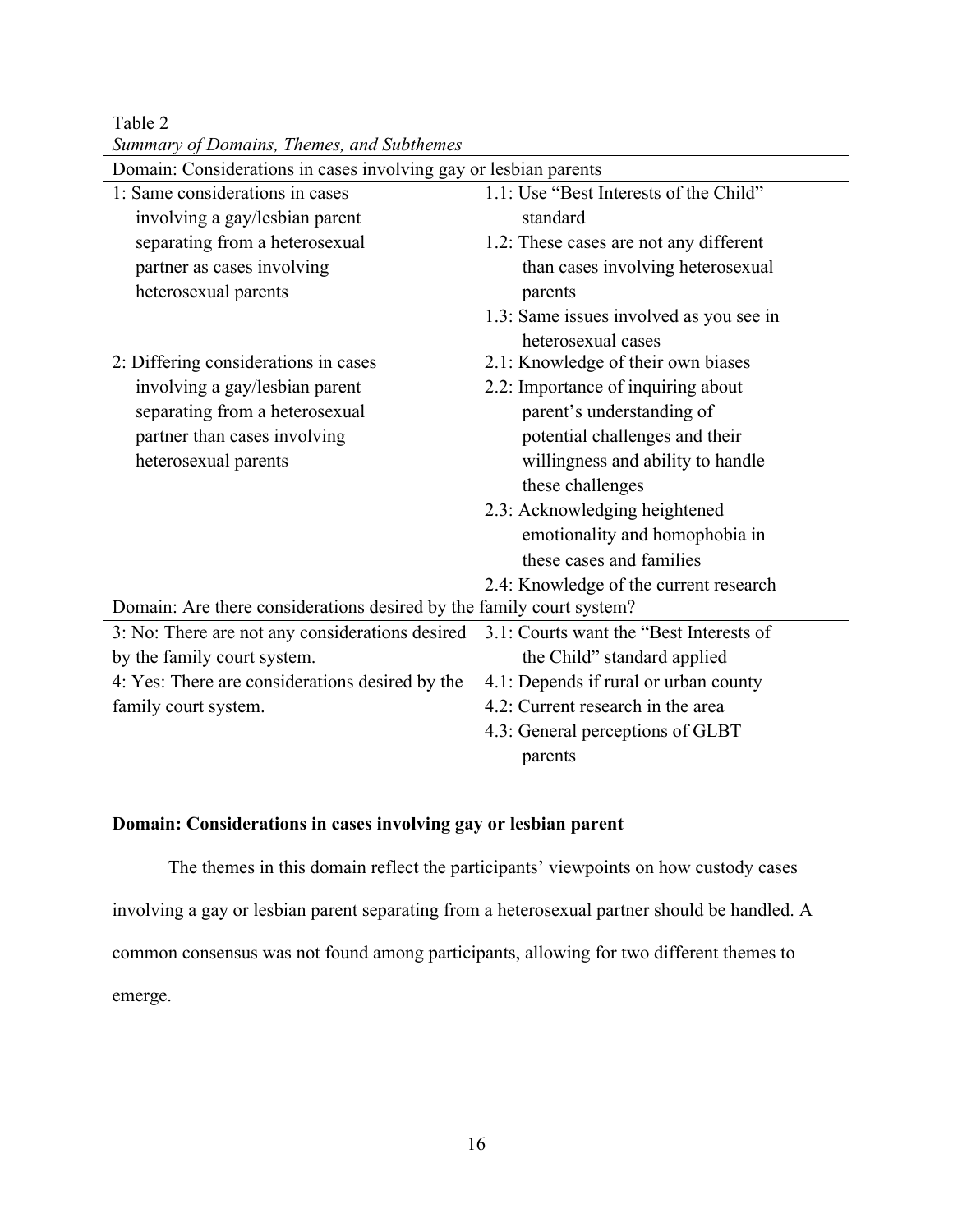Table 2 *Summary of Domains, Themes, and Subthemes*

| Domain: Considerations in cases involving gay or lesbian parents     |                                         |  |  |
|----------------------------------------------------------------------|-----------------------------------------|--|--|
| 1: Same considerations in cases                                      | 1.1: Use "Best Interests of the Child"  |  |  |
| involving a gay/lesbian parent                                       | standard                                |  |  |
| separating from a heterosexual                                       | 1.2: These cases are not any different  |  |  |
| partner as cases involving                                           | than cases involving heterosexual       |  |  |
| heterosexual parents                                                 | parents                                 |  |  |
|                                                                      | 1.3: Same issues involved as you see in |  |  |
|                                                                      | heterosexual cases                      |  |  |
| 2: Differing considerations in cases                                 | 2.1: Knowledge of their own biases      |  |  |
| involving a gay/lesbian parent                                       | 2.2: Importance of inquiring about      |  |  |
| separating from a heterosexual                                       | parent's understanding of               |  |  |
| partner than cases involving                                         | potential challenges and their          |  |  |
| heterosexual parents                                                 | willingness and ability to handle       |  |  |
|                                                                      | these challenges                        |  |  |
|                                                                      | 2.3: Acknowledging heightened           |  |  |
|                                                                      | emotionality and homophobia in          |  |  |
|                                                                      | these cases and families                |  |  |
|                                                                      | 2.4: Knowledge of the current research  |  |  |
| Domain: Are there considerations desired by the family court system? |                                         |  |  |
| 3: No: There are not any considerations desired                      | 3.1: Courts want the "Best Interests of |  |  |
| by the family court system.                                          | the Child" standard applied             |  |  |
| 4: Yes: There are considerations desired by the                      | 4.1: Depends if rural or urban county   |  |  |
| family court system.                                                 | 4.2: Current research in the area       |  |  |
|                                                                      | 4.3: General perceptions of GLBT        |  |  |
|                                                                      | parents                                 |  |  |

## **Domain: Considerations in cases involving gay or lesbian parent**

The themes in this domain reflect the participants' viewpoints on how custody cases involving a gay or lesbian parent separating from a heterosexual partner should be handled. A common consensus was not found among participants, allowing for two different themes to emerge.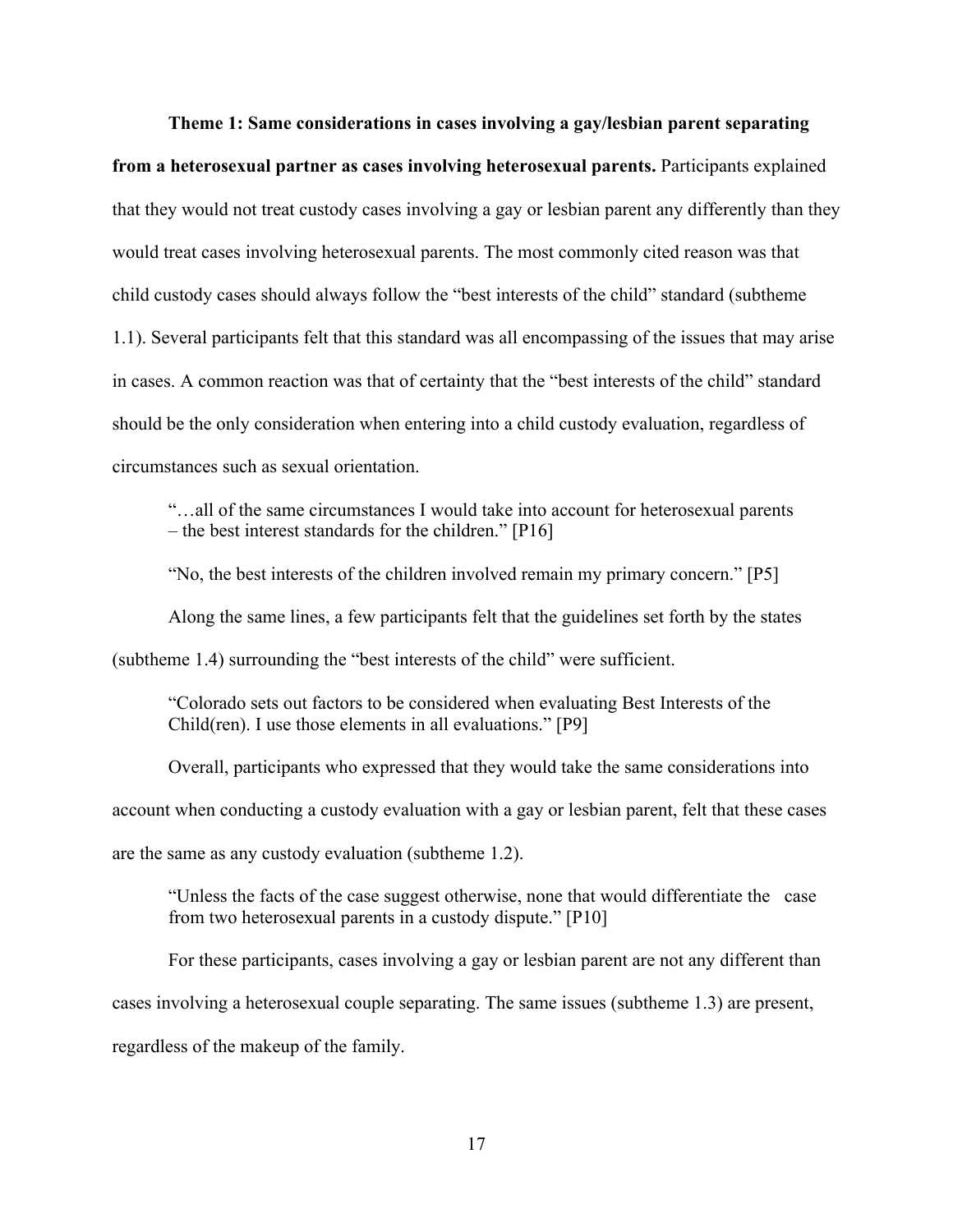**Theme 1: Same considerations in cases involving a gay/lesbian parent separating** 

**from a heterosexual partner as cases involving heterosexual parents.** Participants explained that they would not treat custody cases involving a gay or lesbian parent any differently than they would treat cases involving heterosexual parents. The most commonly cited reason was that child custody cases should always follow the "best interests of the child" standard (subtheme 1.1). Several participants felt that this standard was all encompassing of the issues that may arise in cases. A common reaction was that of certainty that the "best interests of the child" standard should be the only consideration when entering into a child custody evaluation, regardless of circumstances such as sexual orientation.

"…all of the same circumstances I would take into account for heterosexual parents – the best interest standards for the children." [P16]

"No, the best interests of the children involved remain my primary concern." [P5] Along the same lines, a few participants felt that the guidelines set forth by the states (subtheme 1.4) surrounding the "best interests of the child" were sufficient.

"Colorado sets out factors to be considered when evaluating Best Interests of the Child(ren). I use those elements in all evaluations." [P9]

Overall, participants who expressed that they would take the same considerations into account when conducting a custody evaluation with a gay or lesbian parent, felt that these cases are the same as any custody evaluation (subtheme 1.2).

"Unless the facts of the case suggest otherwise, none that would differentiate the case from two heterosexual parents in a custody dispute." [P10]

For these participants, cases involving a gay or lesbian parent are not any different than cases involving a heterosexual couple separating. The same issues (subtheme 1.3) are present, regardless of the makeup of the family.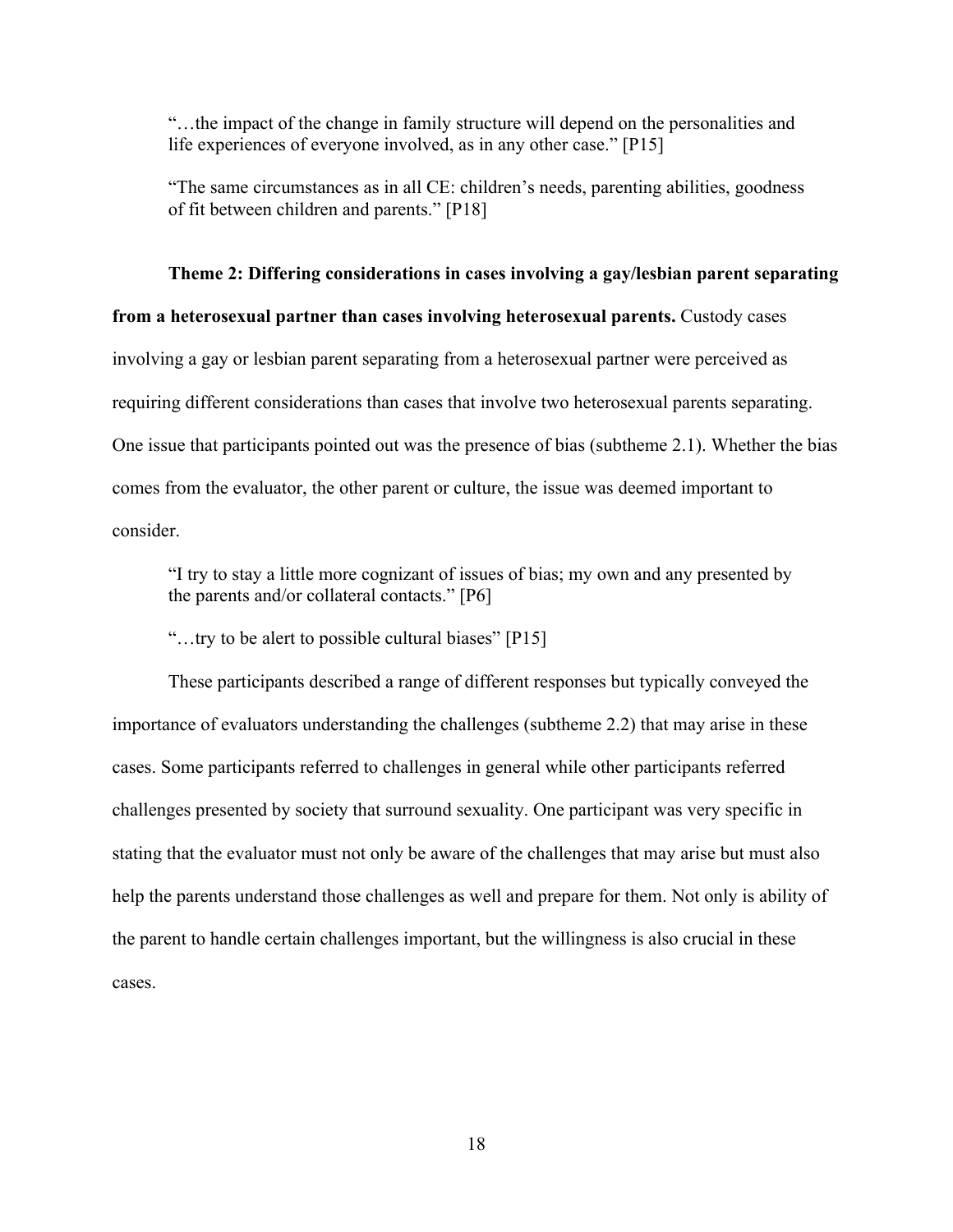"…the impact of the change in family structure will depend on the personalities and life experiences of everyone involved, as in any other case." [P15]

"The same circumstances as in all CE: children's needs, parenting abilities, goodness of fit between children and parents." [P18]

## **Theme 2: Differing considerations in cases involving a gay/lesbian parent separating**

**from a heterosexual partner than cases involving heterosexual parents.** Custody cases involving a gay or lesbian parent separating from a heterosexual partner were perceived as requiring different considerations than cases that involve two heterosexual parents separating. One issue that participants pointed out was the presence of bias (subtheme 2.1). Whether the bias comes from the evaluator, the other parent or culture, the issue was deemed important to consider.

"I try to stay a little more cognizant of issues of bias; my own and any presented by the parents and/or collateral contacts." [P6]

"…try to be alert to possible cultural biases" [P15]

These participants described a range of different responses but typically conveyed the importance of evaluators understanding the challenges (subtheme 2.2) that may arise in these cases. Some participants referred to challenges in general while other participants referred challenges presented by society that surround sexuality. One participant was very specific in stating that the evaluator must not only be aware of the challenges that may arise but must also help the parents understand those challenges as well and prepare for them. Not only is ability of the parent to handle certain challenges important, but the willingness is also crucial in these cases.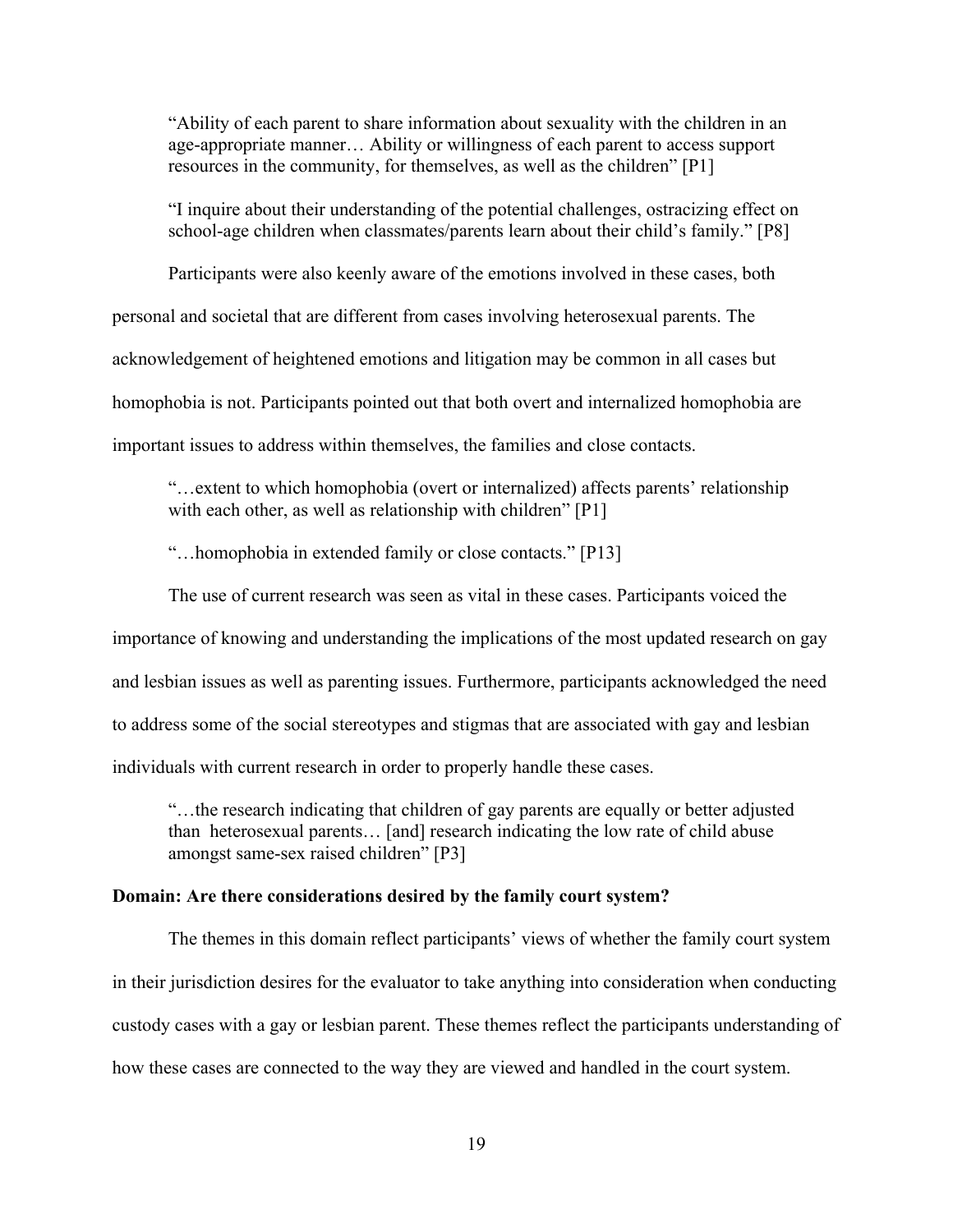"Ability of each parent to share information about sexuality with the children in an age-appropriate manner… Ability or willingness of each parent to access support resources in the community, for themselves, as well as the children" [P1]

"I inquire about their understanding of the potential challenges, ostracizing effect on school-age children when classmates/parents learn about their child's family." [P8]

Participants were also keenly aware of the emotions involved in these cases, both personal and societal that are different from cases involving heterosexual parents. The acknowledgement of heightened emotions and litigation may be common in all cases but homophobia is not. Participants pointed out that both overt and internalized homophobia are important issues to address within themselves, the families and close contacts.

"…extent to which homophobia (overt or internalized) affects parents' relationship with each other, as well as relationship with children" [P1]

"…homophobia in extended family or close contacts." [P13]

The use of current research was seen as vital in these cases. Participants voiced the importance of knowing and understanding the implications of the most updated research on gay and lesbian issues as well as parenting issues. Furthermore, participants acknowledged the need to address some of the social stereotypes and stigmas that are associated with gay and lesbian individuals with current research in order to properly handle these cases.

"…the research indicating that children of gay parents are equally or better adjusted than heterosexual parents… [and] research indicating the low rate of child abuse amongst same-sex raised children" [P3]

## **Domain: Are there considerations desired by the family court system?**

The themes in this domain reflect participants' views of whether the family court system in their jurisdiction desires for the evaluator to take anything into consideration when conducting custody cases with a gay or lesbian parent. These themes reflect the participants understanding of how these cases are connected to the way they are viewed and handled in the court system.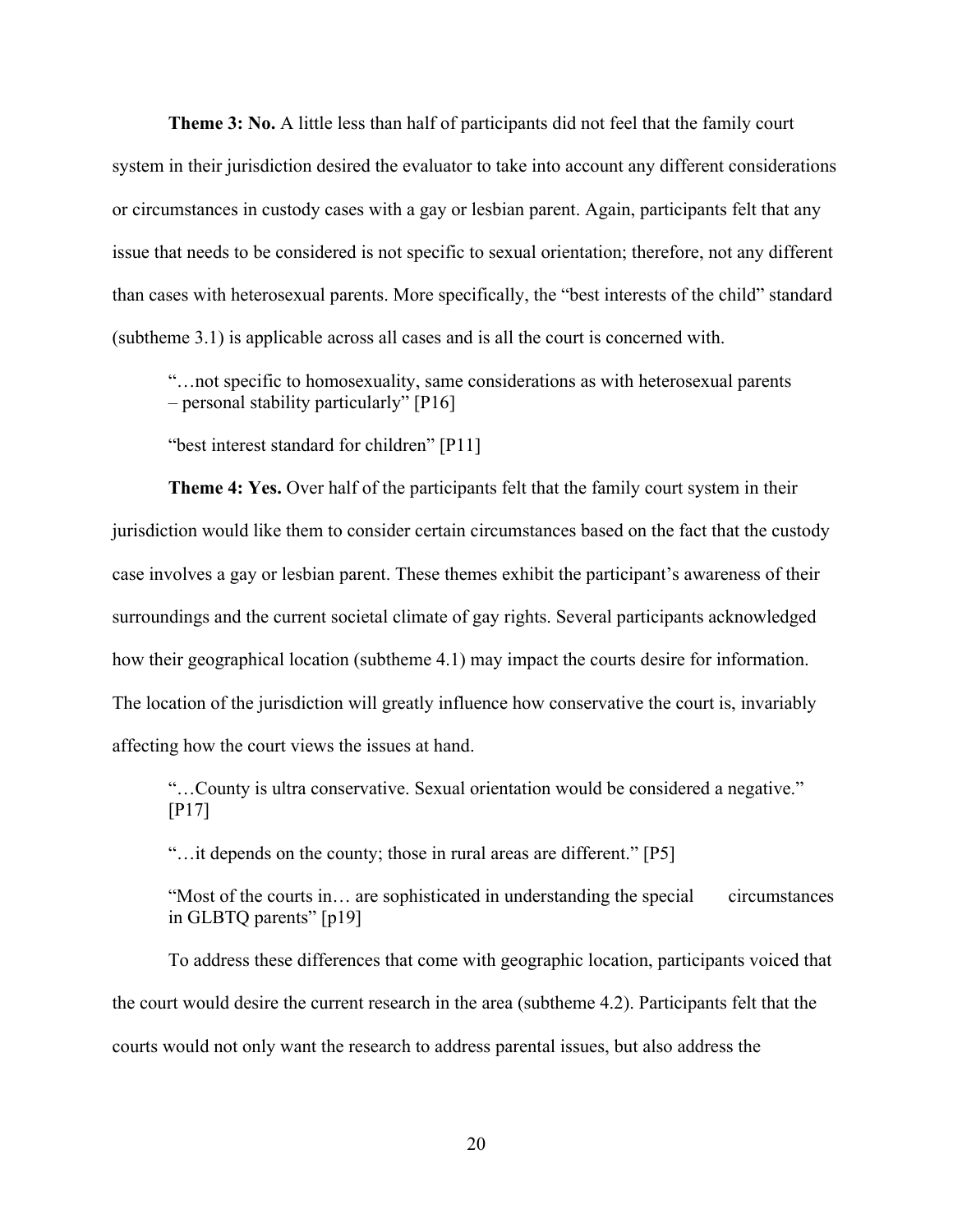**Theme 3: No.** A little less than half of participants did not feel that the family court system in their jurisdiction desired the evaluator to take into account any different considerations or circumstances in custody cases with a gay or lesbian parent. Again, participants felt that any issue that needs to be considered is not specific to sexual orientation; therefore, not any different than cases with heterosexual parents. More specifically, the "best interests of the child" standard (subtheme 3.1) is applicable across all cases and is all the court is concerned with.

"…not specific to homosexuality, same considerations as with heterosexual parents – personal stability particularly" [P16]

"best interest standard for children" [P11]

**Theme 4: Yes.** Over half of the participants felt that the family court system in their jurisdiction would like them to consider certain circumstances based on the fact that the custody case involves a gay or lesbian parent. These themes exhibit the participant's awareness of their surroundings and the current societal climate of gay rights. Several participants acknowledged how their geographical location (subtheme 4.1) may impact the courts desire for information. The location of the jurisdiction will greatly influence how conservative the court is, invariably affecting how the court views the issues at hand.

"…County is ultra conservative. Sexual orientation would be considered a negative." [P17]

"…it depends on the county; those in rural areas are different." [P5]

"Most of the courts in… are sophisticated in understanding the special circumstances in GLBTQ parents" [p19]

To address these differences that come with geographic location, participants voiced that the court would desire the current research in the area (subtheme 4.2). Participants felt that the courts would not only want the research to address parental issues, but also address the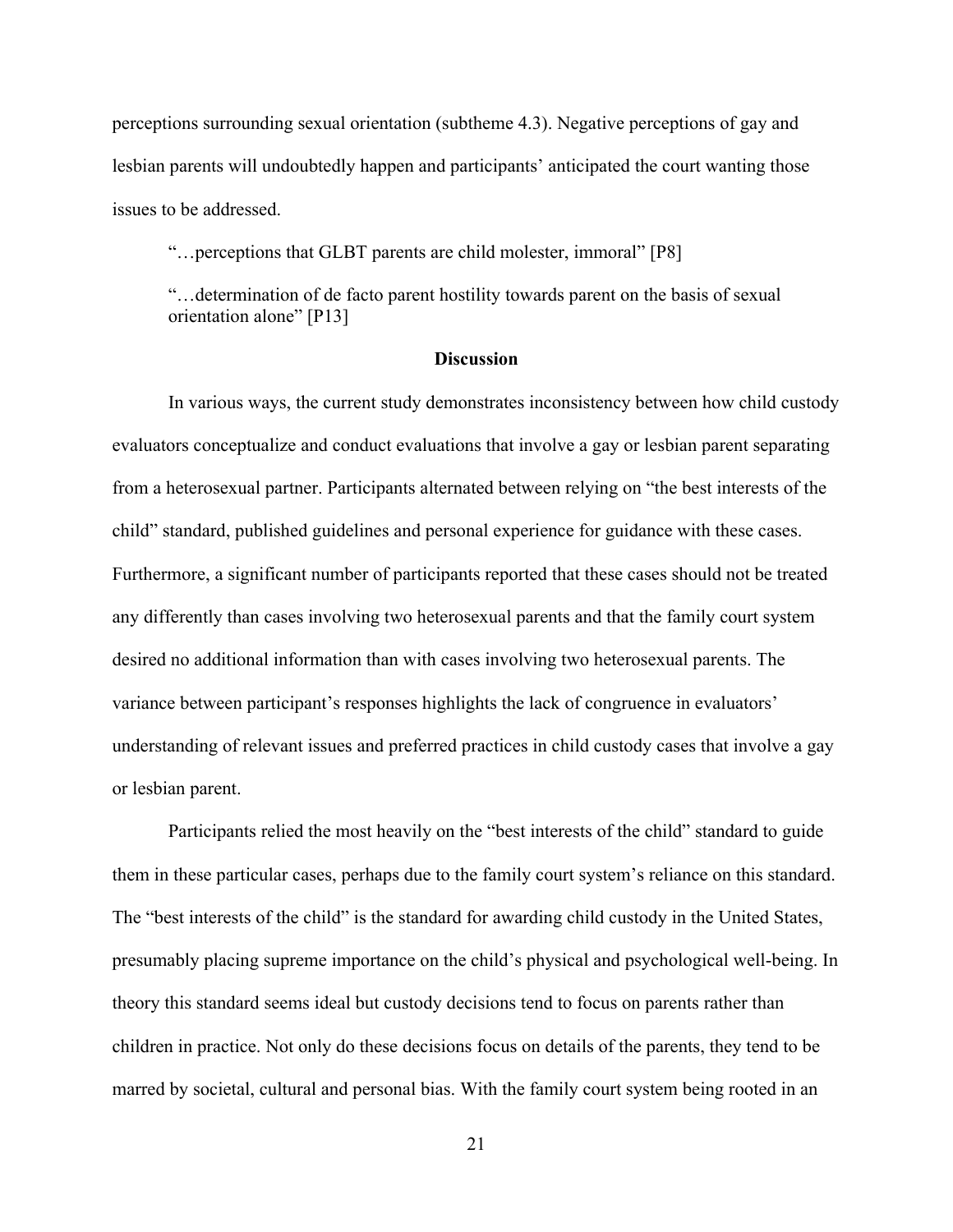perceptions surrounding sexual orientation (subtheme 4.3). Negative perceptions of gay and lesbian parents will undoubtedly happen and participants' anticipated the court wanting those issues to be addressed.

"…perceptions that GLBT parents are child molester, immoral" [P8]

"…determination of de facto parent hostility towards parent on the basis of sexual orientation alone" [P13]

## **Discussion**

In various ways, the current study demonstrates inconsistency between how child custody evaluators conceptualize and conduct evaluations that involve a gay or lesbian parent separating from a heterosexual partner. Participants alternated between relying on "the best interests of the child" standard, published guidelines and personal experience for guidance with these cases. Furthermore, a significant number of participants reported that these cases should not be treated any differently than cases involving two heterosexual parents and that the family court system desired no additional information than with cases involving two heterosexual parents. The variance between participant's responses highlights the lack of congruence in evaluators' understanding of relevant issues and preferred practices in child custody cases that involve a gay or lesbian parent.

Participants relied the most heavily on the "best interests of the child" standard to guide them in these particular cases, perhaps due to the family court system's reliance on this standard. The "best interests of the child" is the standard for awarding child custody in the United States, presumably placing supreme importance on the child's physical and psychological well-being. In theory this standard seems ideal but custody decisions tend to focus on parents rather than children in practice. Not only do these decisions focus on details of the parents, they tend to be marred by societal, cultural and personal bias. With the family court system being rooted in an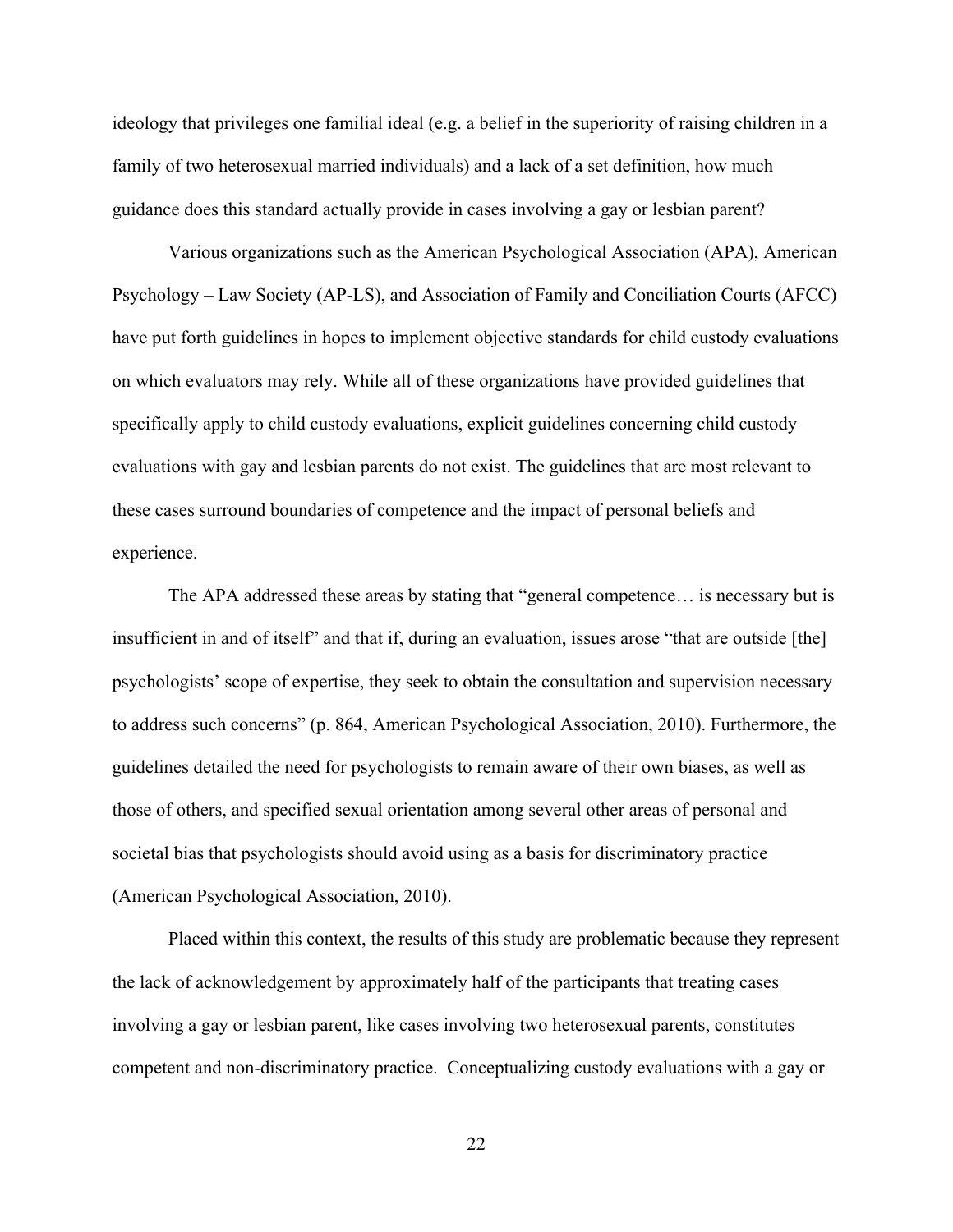ideology that privileges one familial ideal (e.g. a belief in the superiority of raising children in a family of two heterosexual married individuals) and a lack of a set definition, how much guidance does this standard actually provide in cases involving a gay or lesbian parent?

Various organizations such as the American Psychological Association (APA), American Psychology – Law Society (AP-LS), and Association of Family and Conciliation Courts (AFCC) have put forth guidelines in hopes to implement objective standards for child custody evaluations on which evaluators may rely. While all of these organizations have provided guidelines that specifically apply to child custody evaluations, explicit guidelines concerning child custody evaluations with gay and lesbian parents do not exist. The guidelines that are most relevant to these cases surround boundaries of competence and the impact of personal beliefs and experience.

The APA addressed these areas by stating that "general competence… is necessary but is insufficient in and of itself" and that if, during an evaluation, issues arose "that are outside [the] psychologists' scope of expertise, they seek to obtain the consultation and supervision necessary to address such concerns" (p. 864, American Psychological Association, 2010). Furthermore, the guidelines detailed the need for psychologists to remain aware of their own biases, as well as those of others, and specified sexual orientation among several other areas of personal and societal bias that psychologists should avoid using as a basis for discriminatory practice (American Psychological Association, 2010).

Placed within this context, the results of this study are problematic because they represent the lack of acknowledgement by approximately half of the participants that treating cases involving a gay or lesbian parent, like cases involving two heterosexual parents, constitutes competent and non-discriminatory practice. Conceptualizing custody evaluations with a gay or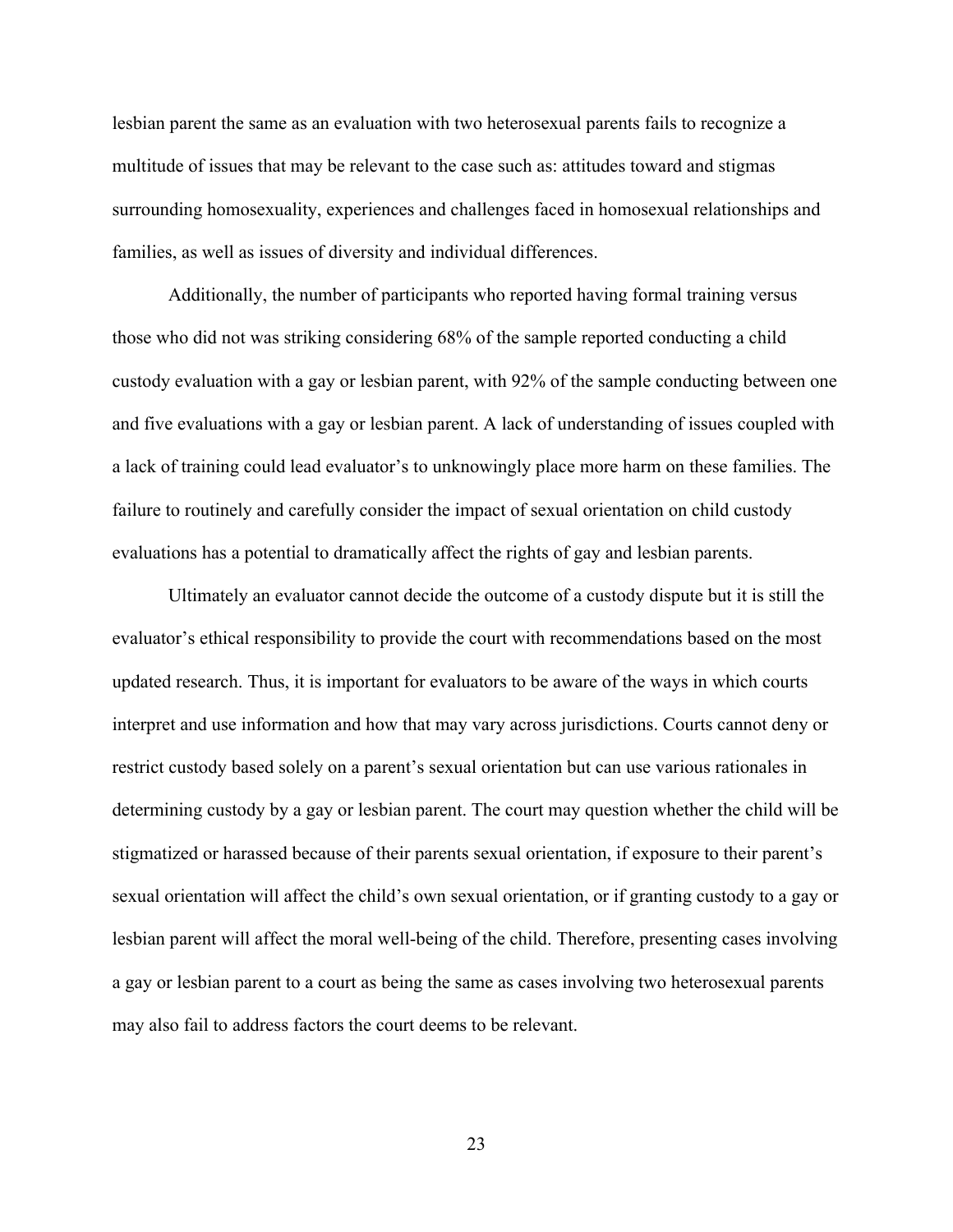lesbian parent the same as an evaluation with two heterosexual parents fails to recognize a multitude of issues that may be relevant to the case such as: attitudes toward and stigmas surrounding homosexuality, experiences and challenges faced in homosexual relationships and families, as well as issues of diversity and individual differences.

Additionally, the number of participants who reported having formal training versus those who did not was striking considering 68% of the sample reported conducting a child custody evaluation with a gay or lesbian parent, with 92% of the sample conducting between one and five evaluations with a gay or lesbian parent. A lack of understanding of issues coupled with a lack of training could lead evaluator's to unknowingly place more harm on these families. The failure to routinely and carefully consider the impact of sexual orientation on child custody evaluations has a potential to dramatically affect the rights of gay and lesbian parents.

Ultimately an evaluator cannot decide the outcome of a custody dispute but it is still the evaluator's ethical responsibility to provide the court with recommendations based on the most updated research. Thus, it is important for evaluators to be aware of the ways in which courts interpret and use information and how that may vary across jurisdictions. Courts cannot deny or restrict custody based solely on a parent's sexual orientation but can use various rationales in determining custody by a gay or lesbian parent. The court may question whether the child will be stigmatized or harassed because of their parents sexual orientation, if exposure to their parent's sexual orientation will affect the child's own sexual orientation, or if granting custody to a gay or lesbian parent will affect the moral well-being of the child. Therefore, presenting cases involving a gay or lesbian parent to a court as being the same as cases involving two heterosexual parents may also fail to address factors the court deems to be relevant.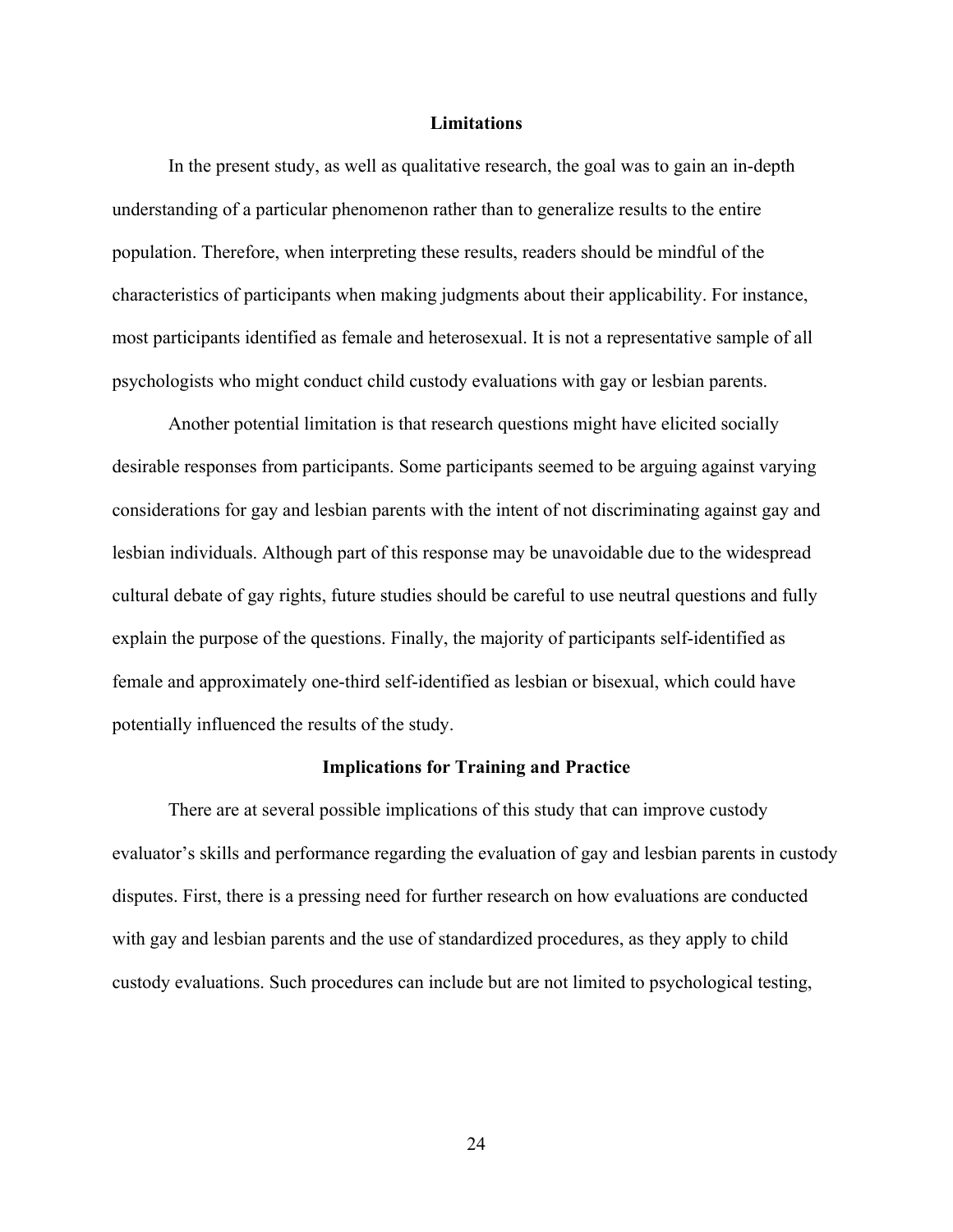#### **Limitations**

In the present study, as well as qualitative research, the goal was to gain an in-depth understanding of a particular phenomenon rather than to generalize results to the entire population. Therefore, when interpreting these results, readers should be mindful of the characteristics of participants when making judgments about their applicability. For instance, most participants identified as female and heterosexual. It is not a representative sample of all psychologists who might conduct child custody evaluations with gay or lesbian parents.

Another potential limitation is that research questions might have elicited socially desirable responses from participants. Some participants seemed to be arguing against varying considerations for gay and lesbian parents with the intent of not discriminating against gay and lesbian individuals. Although part of this response may be unavoidable due to the widespread cultural debate of gay rights, future studies should be careful to use neutral questions and fully explain the purpose of the questions. Finally, the majority of participants self-identified as female and approximately one-third self-identified as lesbian or bisexual, which could have potentially influenced the results of the study.

#### **Implications for Training and Practice**

There are at several possible implications of this study that can improve custody evaluator's skills and performance regarding the evaluation of gay and lesbian parents in custody disputes. First, there is a pressing need for further research on how evaluations are conducted with gay and lesbian parents and the use of standardized procedures, as they apply to child custody evaluations. Such procedures can include but are not limited to psychological testing,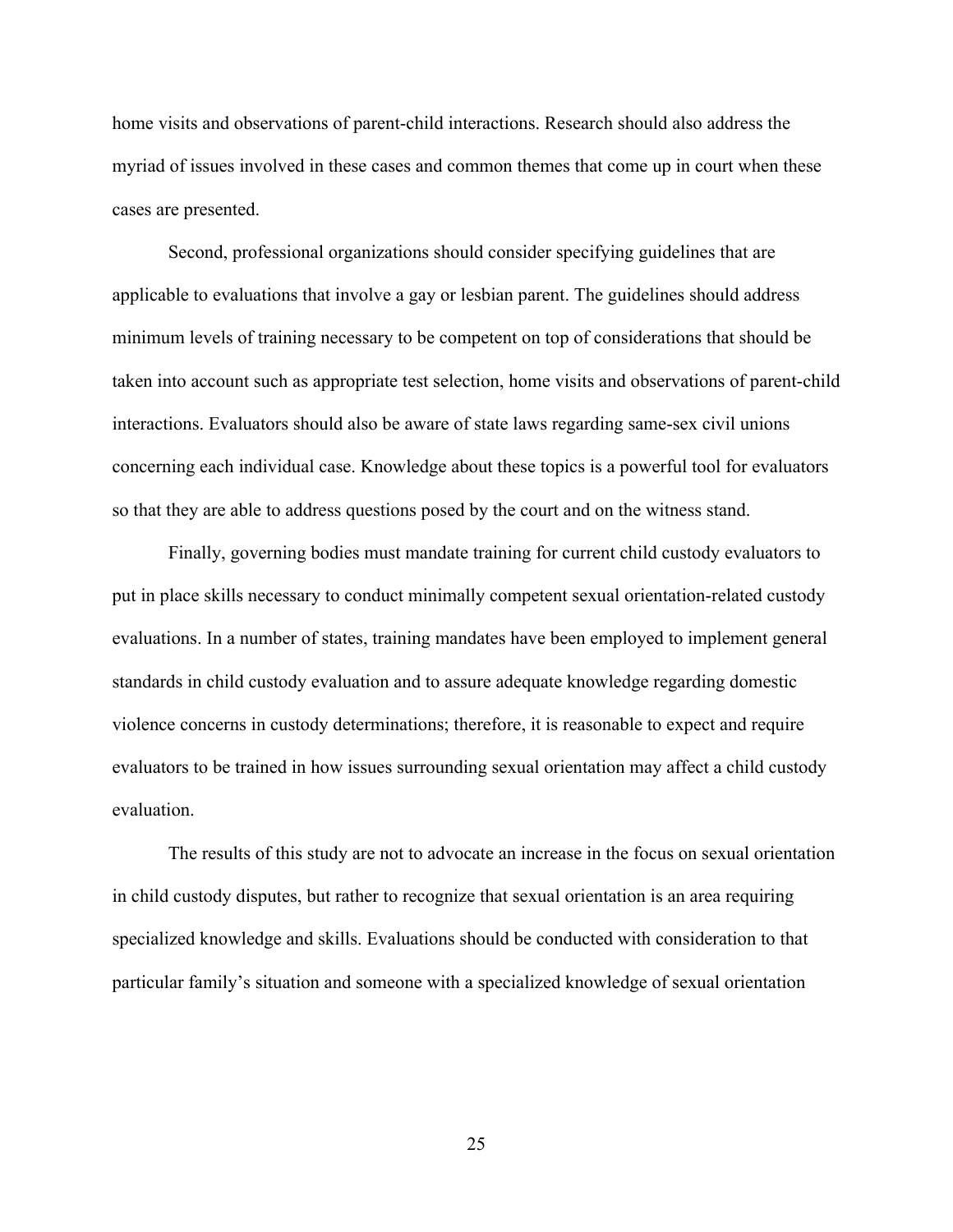home visits and observations of parent-child interactions. Research should also address the myriad of issues involved in these cases and common themes that come up in court when these cases are presented.

Second, professional organizations should consider specifying guidelines that are applicable to evaluations that involve a gay or lesbian parent. The guidelines should address minimum levels of training necessary to be competent on top of considerations that should be taken into account such as appropriate test selection, home visits and observations of parent-child interactions. Evaluators should also be aware of state laws regarding same-sex civil unions concerning each individual case. Knowledge about these topics is a powerful tool for evaluators so that they are able to address questions posed by the court and on the witness stand.

Finally, governing bodies must mandate training for current child custody evaluators to put in place skills necessary to conduct minimally competent sexual orientation-related custody evaluations. In a number of states, training mandates have been employed to implement general standards in child custody evaluation and to assure adequate knowledge regarding domestic violence concerns in custody determinations; therefore, it is reasonable to expect and require evaluators to be trained in how issues surrounding sexual orientation may affect a child custody evaluation.

The results of this study are not to advocate an increase in the focus on sexual orientation in child custody disputes, but rather to recognize that sexual orientation is an area requiring specialized knowledge and skills. Evaluations should be conducted with consideration to that particular family's situation and someone with a specialized knowledge of sexual orientation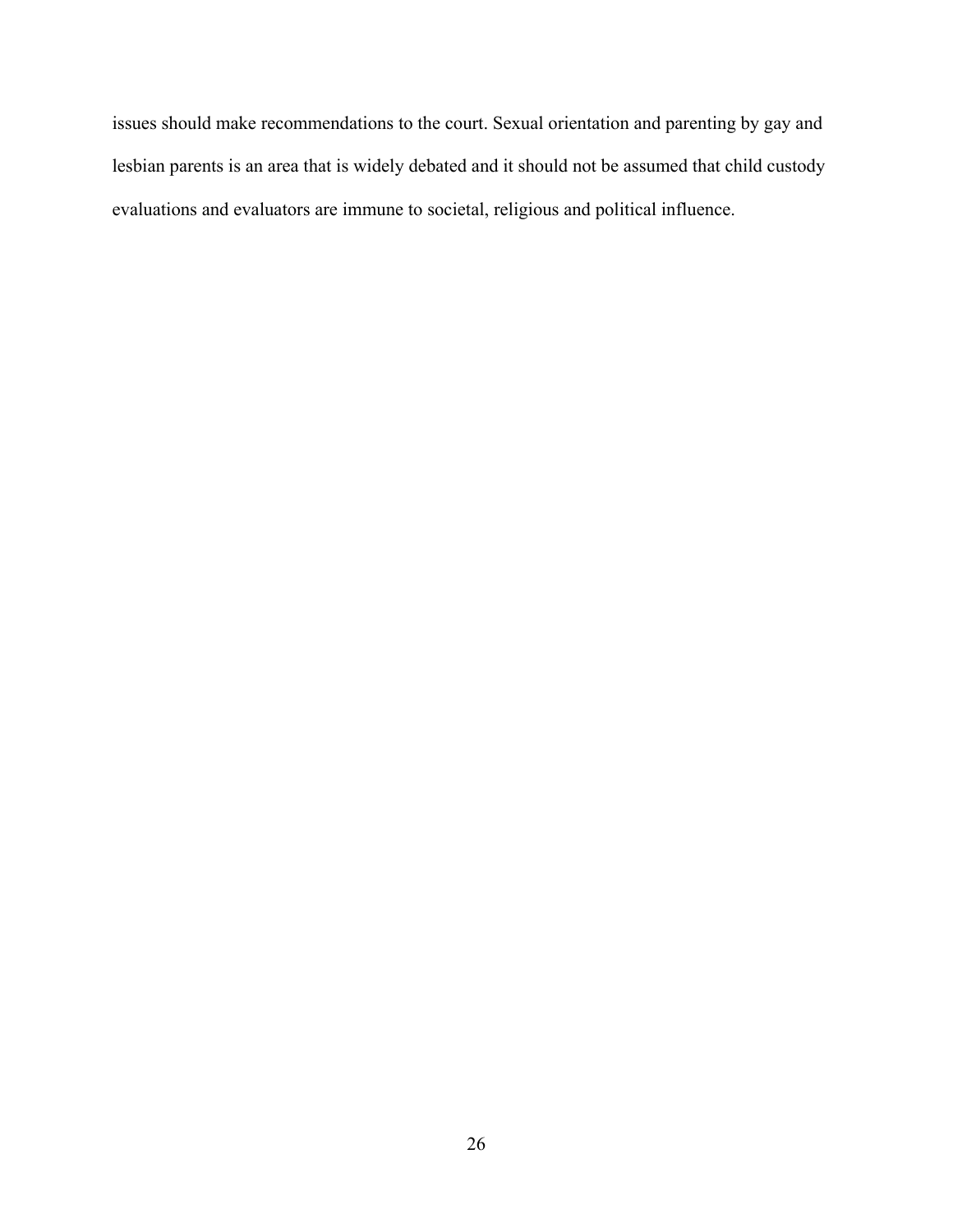issues should make recommendations to the court. Sexual orientation and parenting by gay and lesbian parents is an area that is widely debated and it should not be assumed that child custody evaluations and evaluators are immune to societal, religious and political influence.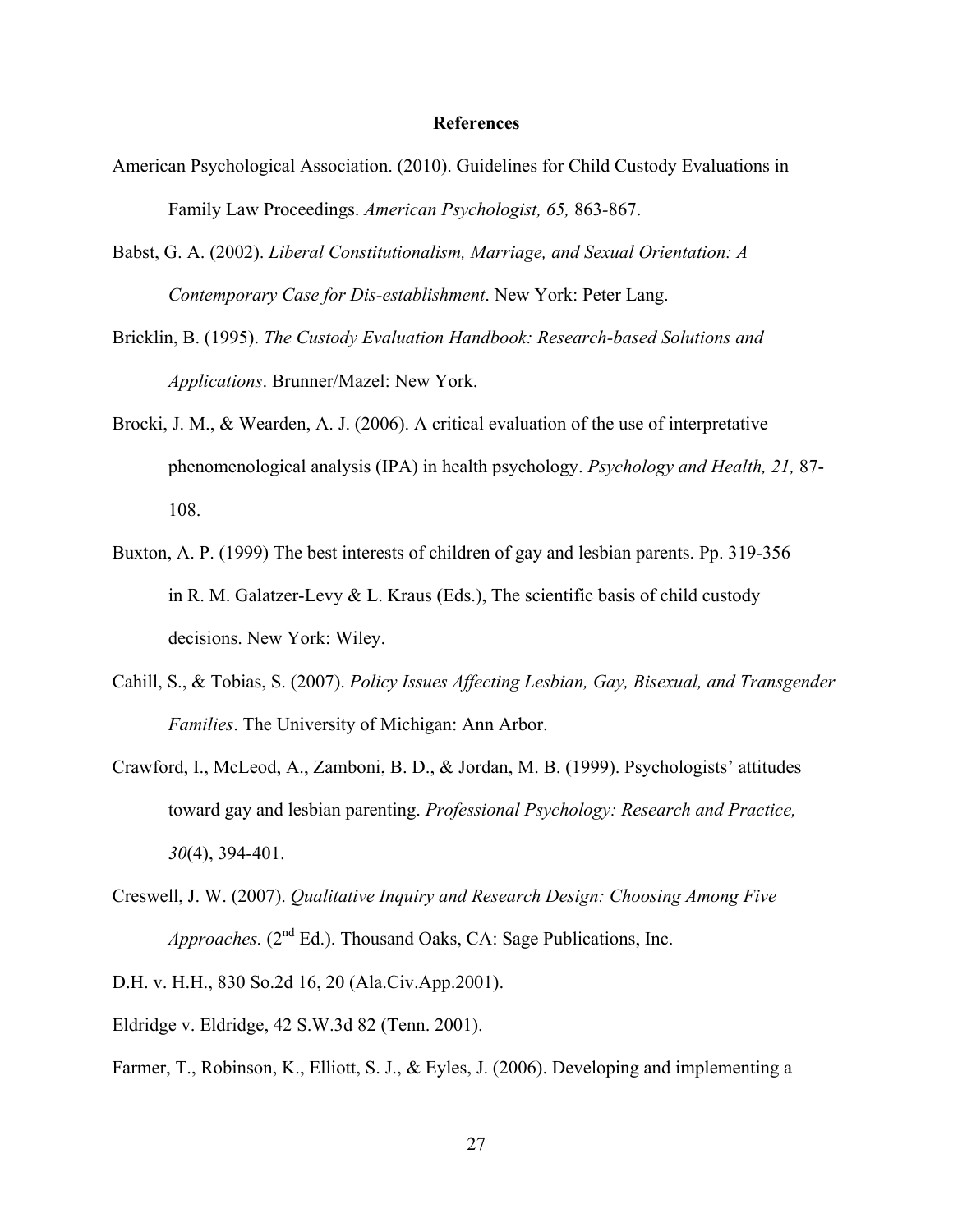#### **References**

- American Psychological Association. (2010). Guidelines for Child Custody Evaluations in Family Law Proceedings. *American Psychologist, 65,* 863*-*867.
- Babst, G. A. (2002). *Liberal Constitutionalism, Marriage, and Sexual Orientation: A Contemporary Case for Dis-establishment*. New York: Peter Lang.
- Bricklin, B. (1995). *The Custody Evaluation Handbook: Research-based Solutions and Applications*. Brunner/Mazel: New York.
- Brocki, J. M., & Wearden, A. J. (2006). A critical evaluation of the use of interpretative phenomenological analysis (IPA) in health psychology. *Psychology and Health, 21,* 87- 108.
- Buxton, A. P. (1999) The best interests of children of gay and lesbian parents. Pp. 319-356 in R. M. Galatzer-Levy  $&$  L. Kraus (Eds.), The scientific basis of child custody decisions. New York: Wiley.
- Cahill, S., & Tobias, S. (2007). *Policy Issues Affecting Lesbian, Gay, Bisexual, and Transgender Families*. The University of Michigan: Ann Arbor.
- Crawford, I., McLeod, A., Zamboni, B. D., & Jordan, M. B. (1999). Psychologists' attitudes toward gay and lesbian parenting. *Professional Psychology: Research and Practice, 30*(4), 394-401.
- Creswell, J. W. (2007). *Qualitative Inquiry and Research Design: Choosing Among Five Approaches.* (2<sup>nd</sup> Ed.). Thousand Oaks, CA: Sage Publications, Inc.

D.H. v. H.H., 830 So.2d 16, 20 (Ala.Civ.App.2001).

- Eldridge v. Eldridge, 42 S.W.3d 82 (Tenn. 2001).
- Farmer, T., Robinson, K., Elliott, S. J., & Eyles, J. (2006). Developing and implementing a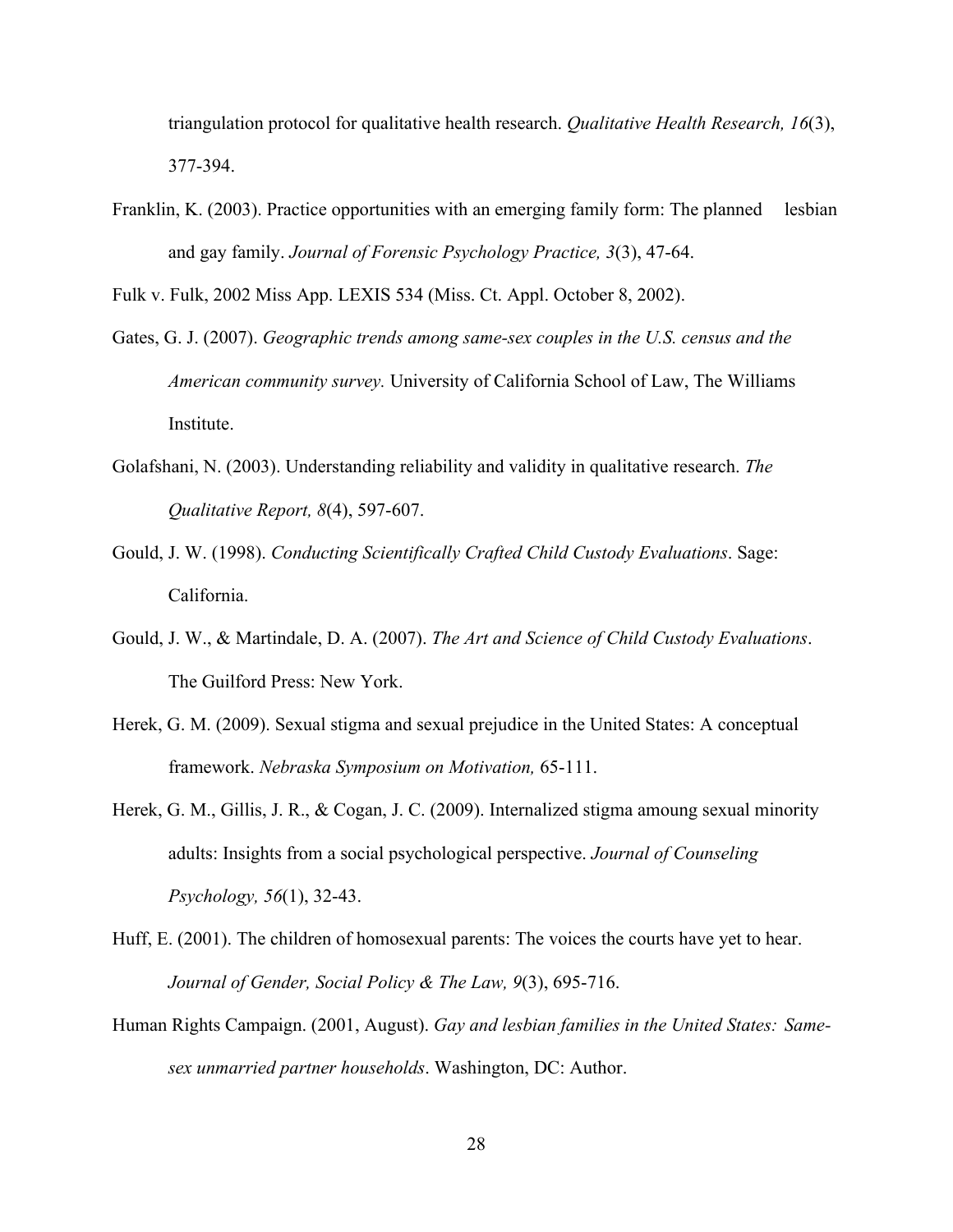triangulation protocol for qualitative health research. *Qualitative Health Research, 16*(3), 377-394.

Franklin, K. (2003). Practice opportunities with an emerging family form: The planned lesbian and gay family. *Journal of Forensic Psychology Practice, 3*(3), 47-64.

Fulk v. Fulk, 2002 Miss App. LEXIS 534 (Miss. Ct. Appl. October 8, 2002).

- Gates, G. J. (2007). *Geographic trends among same-sex couples in the U.S. census and the American community survey.* University of California School of Law, The Williams Institute.
- Golafshani, N. (2003). Understanding reliability and validity in qualitative research. *The Qualitative Report, 8*(4), 597-607.
- Gould, J. W. (1998). *Conducting Scientifically Crafted Child Custody Evaluations*. Sage: California.
- Gould, J. W., & Martindale, D. A. (2007). *The Art and Science of Child Custody Evaluations*. The Guilford Press: New York.
- Herek, G. M. (2009). Sexual stigma and sexual prejudice in the United States: A conceptual framework. *Nebraska Symposium on Motivation,* 65-111.
- Herek, G. M., Gillis, J. R., & Cogan, J. C. (2009). Internalized stigma amoung sexual minority adults: Insights from a social psychological perspective. *Journal of Counseling Psychology, 56*(1), 32-43.
- Huff, E. (2001). The children of homosexual parents: The voices the courts have yet to hear. *Journal of Gender, Social Policy & The Law, 9*(3), 695-716.
- Human Rights Campaign. (2001, August). *Gay and lesbian families in the United States: Samesex unmarried partner households*. Washington, DC: Author.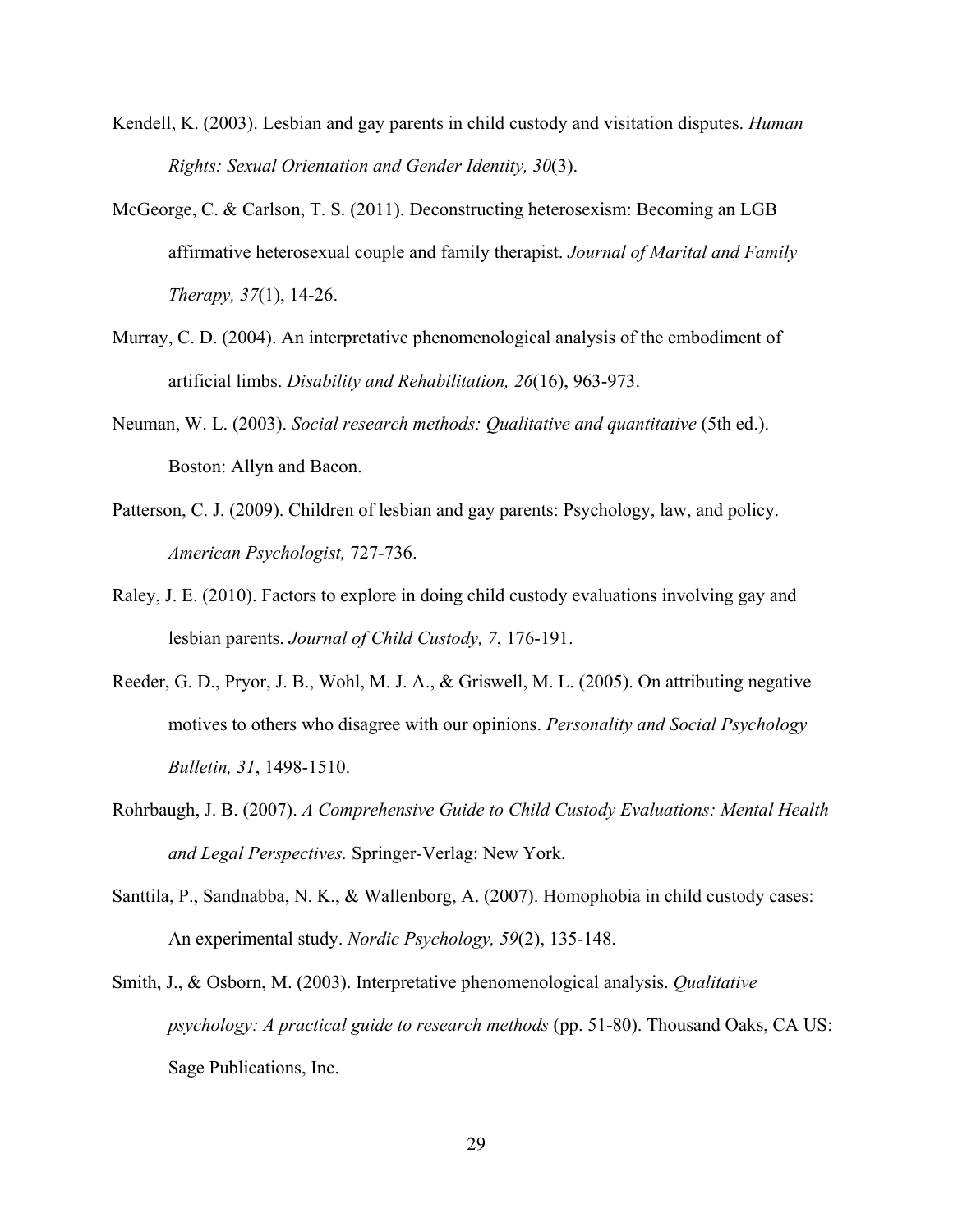- Kendell, K. (2003). Lesbian and gay parents in child custody and visitation disputes. *Human Rights: Sexual Orientation and Gender Identity, 30*(3).
- McGeorge, C. & Carlson, T. S. (2011). Deconstructing heterosexism: Becoming an LGB affirmative heterosexual couple and family therapist. *Journal of Marital and Family Therapy, 37*(1), 14-26.
- Murray, C. D. (2004). An interpretative phenomenological analysis of the embodiment of artificial limbs. *Disability and Rehabilitation, 26*(16), 963-973.
- Neuman, W. L. (2003). *Social research methods: Qualitative and quantitative* (5th ed.). Boston: Allyn and Bacon.
- Patterson, C. J. (2009). Children of lesbian and gay parents: Psychology, law, and policy. *American Psychologist,* 727-736.
- Raley, J. E. (2010). Factors to explore in doing child custody evaluations involving gay and lesbian parents. *Journal of Child Custody, 7*, 176-191.
- Reeder, G. D., Pryor, J. B., Wohl, M. J. A., & Griswell, M. L. (2005). On attributing negative motives to others who disagree with our opinions. *Personality and Social Psychology Bulletin, 31*, 1498-1510.
- Rohrbaugh, J. B. (2007). *A Comprehensive Guide to Child Custody Evaluations: Mental Health and Legal Perspectives.* Springer-Verlag: New York.
- Santtila, P., Sandnabba, N. K., & Wallenborg, A. (2007). Homophobia in child custody cases: An experimental study. *Nordic Psychology, 59*(2), 135-148.
- Smith, J., & Osborn, M. (2003). Interpretative phenomenological analysis. *Qualitative psychology: A practical guide to research methods* (pp. 51-80). Thousand Oaks, CA US: Sage Publications, Inc.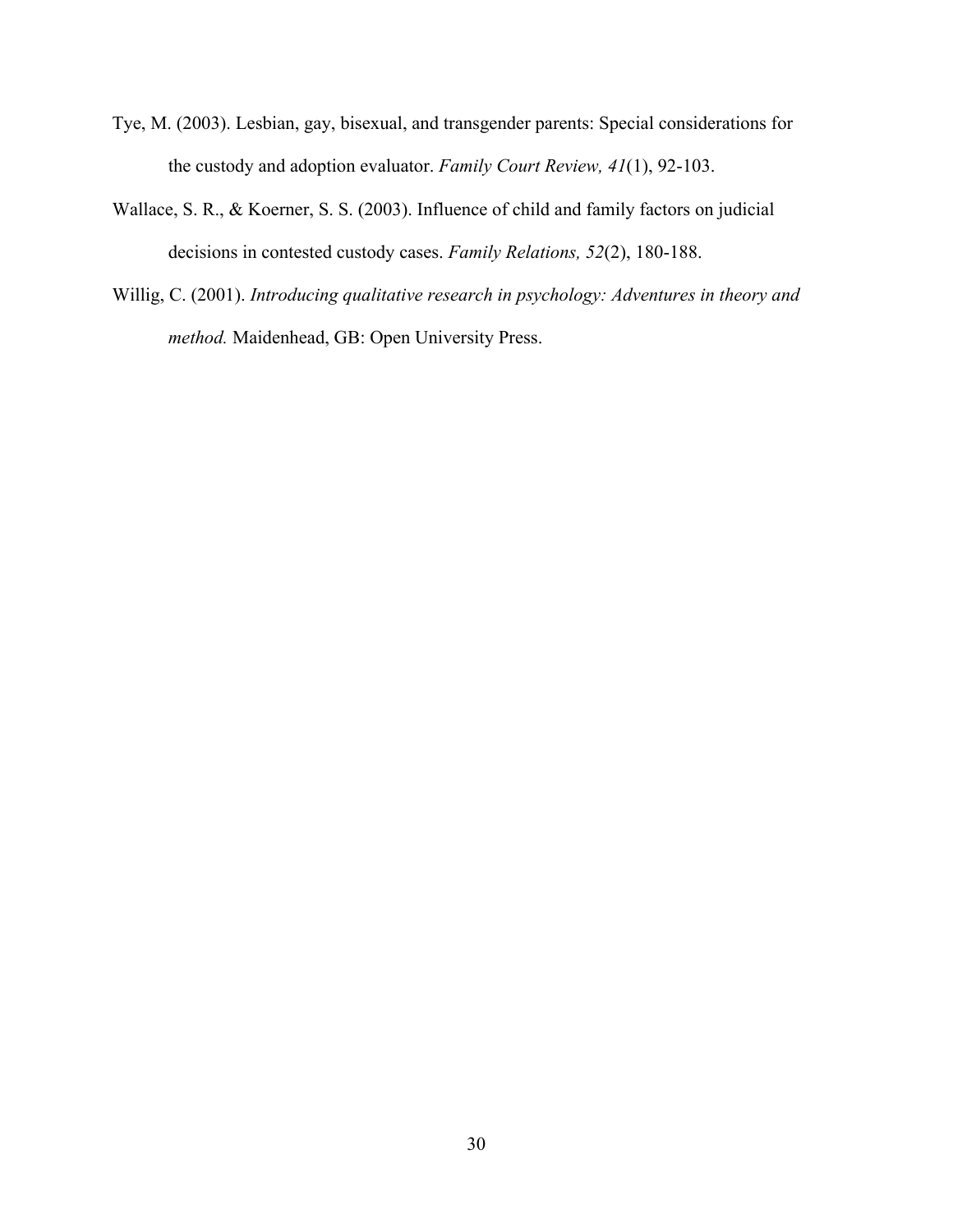- Tye, M. (2003). Lesbian, gay, bisexual, and transgender parents: Special considerations for the custody and adoption evaluator. *Family Court Review, 41*(1), 92-103.
- Wallace, S. R., & Koerner, S. S. (2003). Influence of child and family factors on judicial decisions in contested custody cases. *Family Relations, 52*(2), 180-188.
- Willig, C. (2001). *Introducing qualitative research in psychology: Adventures in theory and method.* Maidenhead, GB: Open University Press.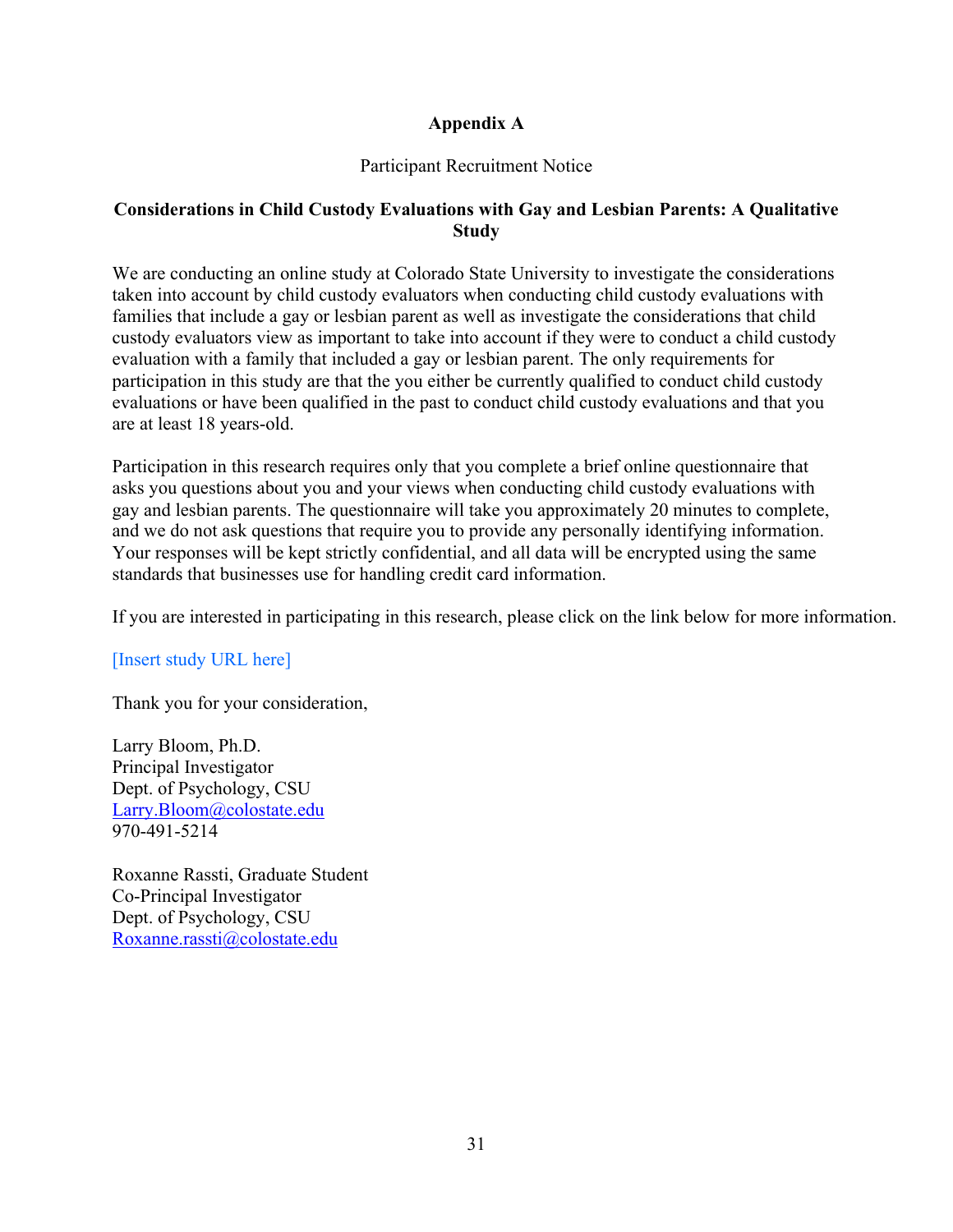## **Appendix A**

## Participant Recruitment Notice

## **Considerations in Child Custody Evaluations with Gay and Lesbian Parents: A Qualitative Study**

We are conducting an online study at Colorado State University to investigate the considerations taken into account by child custody evaluators when conducting child custody evaluations with families that include a gay or lesbian parent as well as investigate the considerations that child custody evaluators view as important to take into account if they were to conduct a child custody evaluation with a family that included a gay or lesbian parent. The only requirements for participation in this study are that the you either be currently qualified to conduct child custody evaluations or have been qualified in the past to conduct child custody evaluations and that you are at least 18 years-old.

Participation in this research requires only that you complete a brief online questionnaire that asks you questions about you and your views when conducting child custody evaluations with gay and lesbian parents. The questionnaire will take you approximately 20 minutes to complete, and we do not ask questions that require you to provide any personally identifying information. Your responses will be kept strictly confidential, and all data will be encrypted using the same standards that businesses use for handling credit card information.

If you are interested in participating in this research, please click on the link below for more information.

[Insert study URL here]

Thank you for your consideration,

Larry Bloom, Ph.D. Principal Investigator Dept. of Psychology, CSU Larry.Bloom@colostate.edu 970-491-5214

Roxanne Rassti, Graduate Student Co-Principal Investigator Dept. of Psychology, CSU Roxanne.rassti@colostate.edu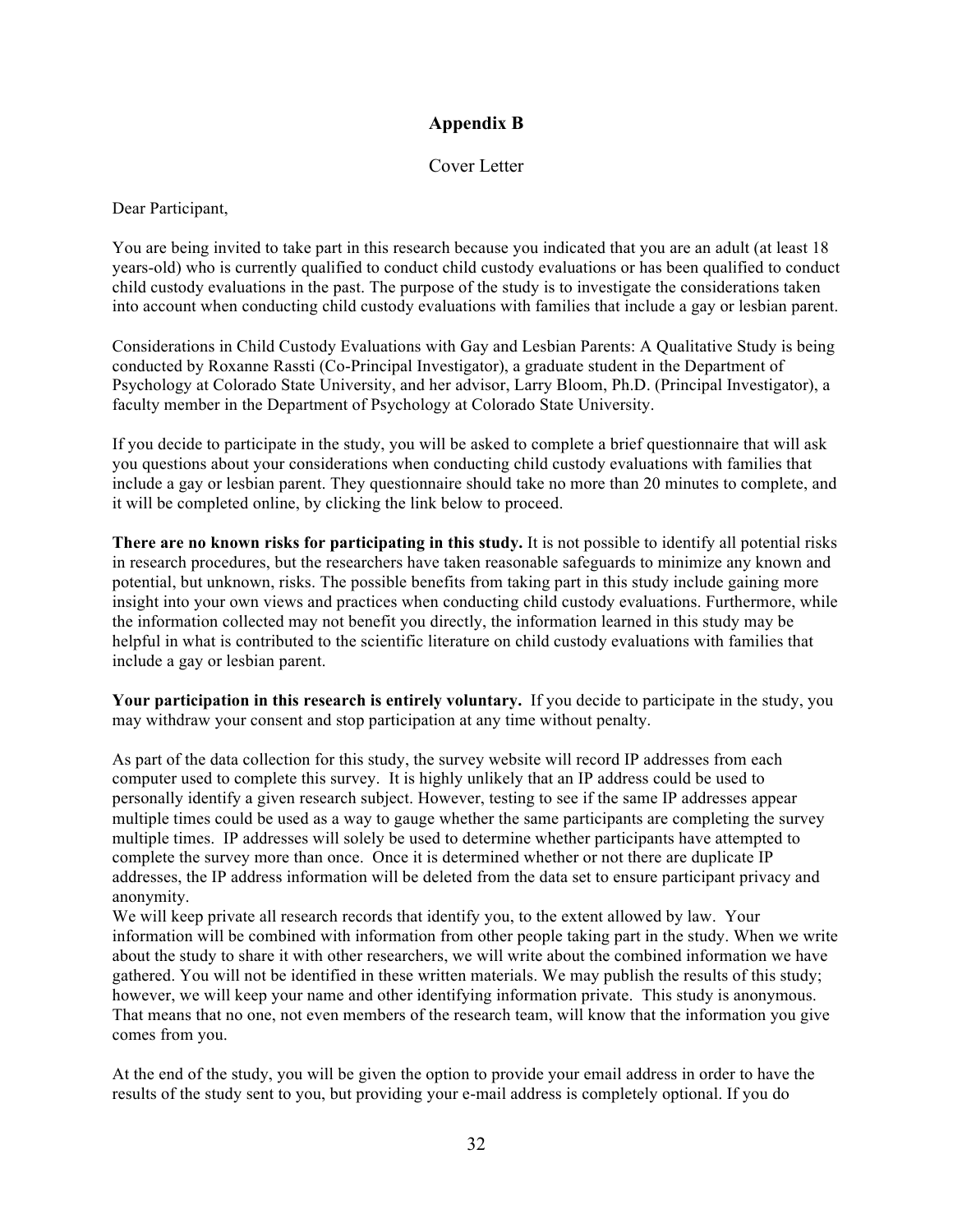## **Appendix B**

## Cover Letter

Dear Participant,

You are being invited to take part in this research because you indicated that you are an adult (at least 18 years-old) who is currently qualified to conduct child custody evaluations or has been qualified to conduct child custody evaluations in the past. The purpose of the study is to investigate the considerations taken into account when conducting child custody evaluations with families that include a gay or lesbian parent.

Considerations in Child Custody Evaluations with Gay and Lesbian Parents: A Qualitative Study is being conducted by Roxanne Rassti (Co-Principal Investigator), a graduate student in the Department of Psychology at Colorado State University, and her advisor, Larry Bloom, Ph.D. (Principal Investigator), a faculty member in the Department of Psychology at Colorado State University.

If you decide to participate in the study, you will be asked to complete a brief questionnaire that will ask you questions about your considerations when conducting child custody evaluations with families that include a gay or lesbian parent. They questionnaire should take no more than 20 minutes to complete, and it will be completed online, by clicking the link below to proceed.

**There are no known risks for participating in this study.** It is not possible to identify all potential risks in research procedures, but the researchers have taken reasonable safeguards to minimize any known and potential, but unknown, risks. The possible benefits from taking part in this study include gaining more insight into your own views and practices when conducting child custody evaluations. Furthermore, while the information collected may not benefit you directly, the information learned in this study may be helpful in what is contributed to the scientific literature on child custody evaluations with families that include a gay or lesbian parent.

**Your participation in this research is entirely voluntary.** If you decide to participate in the study, you may withdraw your consent and stop participation at any time without penalty.

As part of the data collection for this study, the survey website will record IP addresses from each computer used to complete this survey. It is highly unlikely that an IP address could be used to personally identify a given research subject. However, testing to see if the same IP addresses appear multiple times could be used as a way to gauge whether the same participants are completing the survey multiple times. IP addresses will solely be used to determine whether participants have attempted to complete the survey more than once. Once it is determined whether or not there are duplicate IP addresses, the IP address information will be deleted from the data set to ensure participant privacy and anonymity.

We will keep private all research records that identify you, to the extent allowed by law. Your information will be combined with information from other people taking part in the study. When we write about the study to share it with other researchers, we will write about the combined information we have gathered. You will not be identified in these written materials. We may publish the results of this study; however, we will keep your name and other identifying information private. This study is anonymous. That means that no one, not even members of the research team, will know that the information you give comes from you.

At the end of the study, you will be given the option to provide your email address in order to have the results of the study sent to you, but providing your e-mail address is completely optional. If you do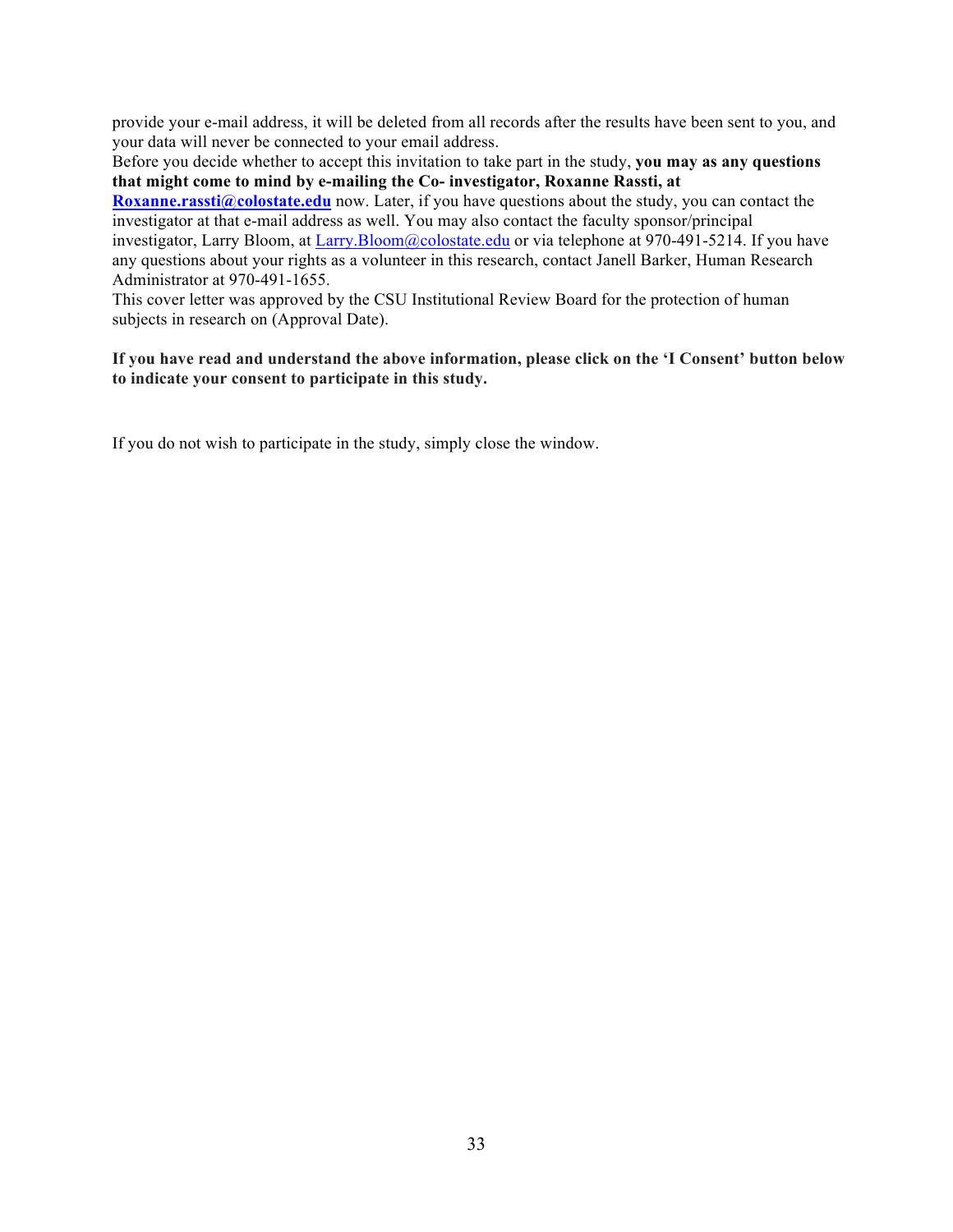provide your e-mail address, it will be deleted from all records after the results have been sent to you, and your data will never be connected to your email address.

Before you decide whether to accept this invitation to take part in the study, **you may as any questions that might come to mind by e-mailing the Co- investigator, Roxanne Rassti, at** 

**Roxanne.rassti@colostate.edu** now. Later, if you have questions about the study, you can contact the investigator at that e-mail address as well. You may also contact the faculty sponsor/principal investigator, Larry Bloom, at Larry.Bloom@colostate.edu or via telephone at 970-491-5214. If you have any questions about your rights as a volunteer in this research, contact Janell Barker, Human Research Administrator at 970-491-1655.

This cover letter was approved by the CSU Institutional Review Board for the protection of human subjects in research on (Approval Date).

## **If you have read and understand the above information, please click on the 'I Consent' button below to indicate your consent to participate in this study.**

If you do not wish to participate in the study, simply close the window.